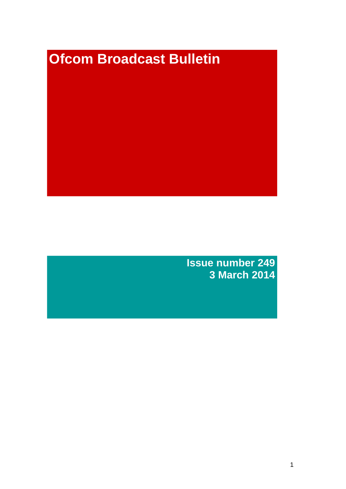# **Ofcom Broadcast Bulletin**

**Issue number 249 3 March 2014**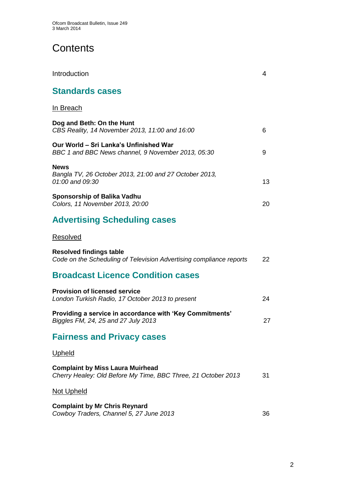# **Contents**

| Introduction                                                                                             | 4  |
|----------------------------------------------------------------------------------------------------------|----|
| <b>Standards cases</b>                                                                                   |    |
| <u>In Breach</u>                                                                                         |    |
| Dog and Beth: On the Hunt<br>CBS Reality, 14 November 2013, 11:00 and 16:00                              | 6  |
| Our World - Sri Lanka's Unfinished War<br>BBC 1 and BBC News channel, 9 November 2013, 05:30             | 9  |
| <b>News</b><br>Bangla TV, 26 October 2013, 21:00 and 27 October 2013,<br>01:00 and 09:30                 | 13 |
| <b>Sponsorship of Balika Vadhu</b><br>Colors, 11 November 2013, 20:00                                    | 20 |
| <b>Advertising Scheduling cases</b>                                                                      |    |
| Resolved                                                                                                 |    |
| <b>Resolved findings table</b><br>Code on the Scheduling of Television Advertising compliance reports    | 22 |
| <b>Broadcast Licence Condition cases</b>                                                                 |    |
| <b>Provision of licensed service</b><br>London Turkish Radio, 17 October 2013 to present                 | 24 |
| Providing a service in accordance with 'Key Commitments'<br>Biggles FM, 24, 25 and 27 July 2013          | 27 |
| <b>Fairness and Privacy cases</b>                                                                        |    |
| Upheld                                                                                                   |    |
| <b>Complaint by Miss Laura Muirhead</b><br>Cherry Healey: Old Before My Time, BBC Three, 21 October 2013 | 31 |
| <b>Not Upheld</b>                                                                                        |    |
| <b>Complaint by Mr Chris Reynard</b><br>Cowboy Traders, Channel 5, 27 June 2013                          | 36 |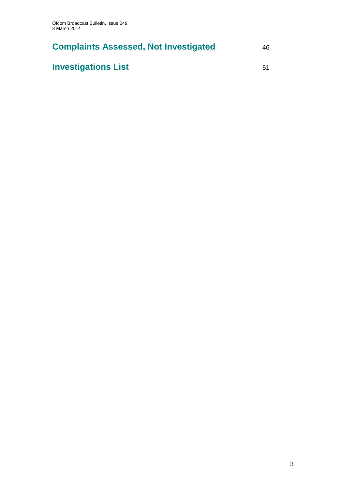# **Complaints Assessed, Not Investigated** 46

# **Investigations List** 51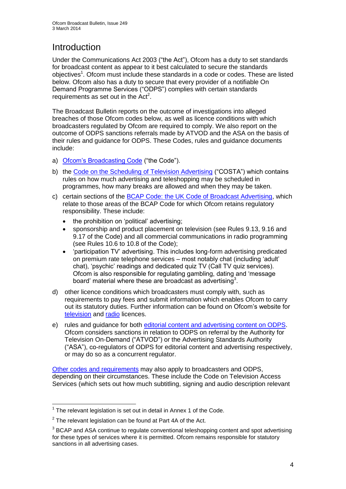# **Introduction**

Under the Communications Act 2003 ("the Act"), Ofcom has a duty to set standards for broadcast content as appear to it best calculated to secure the standards objectives<sup>1</sup>. Ofcom must include these standards in a code or codes. These are listed below. Ofcom also has a duty to secure that every provider of a notifiable On Demand Programme Services ("ODPS") complies with certain standards requirements as set out in the  $Act<sup>2</sup>$ .

The Broadcast Bulletin reports on the outcome of investigations into alleged breaches of those Ofcom codes below, as well as licence conditions with which broadcasters regulated by Ofcom are required to comply. We also report on the outcome of ODPS sanctions referrals made by ATVOD and the ASA on the basis of their rules and guidance for ODPS. These Codes, rules and guidance documents include:

- a) [Ofcom's Broadcasting Code](http://stakeholders.ofcom.org.uk/broadcasting/broadcast-codes/broadcast-code/) ("the Code").
- b) the [Code on the Scheduling of Television Advertising](http://stakeholders.ofcom.org.uk/broadcasting/broadcast-codes/advert-code/) ("COSTA") which contains rules on how much advertising and teleshopping may be scheduled in programmes, how many breaks are allowed and when they may be taken.
- c) certain sections of the [BCAP Code: the UK Code of Broadcast Advertising,](http://www.bcap.org.uk/Advertising-Codes/Broadcast-HTML.aspx) which relate to those areas of the BCAP Code for which Ofcom retains regulatory responsibility. These include:
	- the prohibition on 'political' advertising:
	- sponsorship and product placement on television (see Rules 9.13, 9.16 and 9.17 of the Code) and all commercial communications in radio programming (see Rules 10.6 to 10.8 of the Code);
	- 'participation TV' advertising. This includes long-form advertising predicated on premium rate telephone services – most notably chat (including 'adult' chat), 'psychic' readings and dedicated quiz TV (Call TV quiz services). Ofcom is also responsible for regulating gambling, dating and 'message board' material where these are broadcast as advertising<sup>3</sup>.
- d) other licence conditions which broadcasters must comply with, such as requirements to pay fees and submit information which enables Ofcom to carry out its statutory duties. Further information can be found on Ofcom's website for [television](http://licensing.ofcom.org.uk/tv-broadcast-licences/) and [radio](http://licensing.ofcom.org.uk/radio-broadcast-licensing/) licences.
- e) rules and guidance for both [editorial content and advertising content on ODPS.](http://www.atvod.co.uk/uploads/files/ATVOD_Rules_and_Guidance_Ed_2.0_May_2012.pdf) Ofcom considers sanctions in relation to ODPS on referral by the Authority for Television On-Demand ("ATVOD") or the Advertising Standards Authority ("ASA"), co-regulators of ODPS for editorial content and advertising respectively, or may do so as a concurrent regulator.

[Other codes and requirements](http://stakeholders.ofcom.org.uk/broadcasting/broadcast-codes/) may also apply to broadcasters and ODPS, depending on their circumstances. These include the Code on Television Access Services (which sets out how much subtitling, signing and audio description relevant

<sup>1</sup>  $1$  The relevant legislation is set out in detail in Annex 1 of the Code.

 $2$  The relevant legislation can be found at Part 4A of the Act.

 $3$  BCAP and ASA continue to regulate conventional teleshopping content and spot advertising for these types of services where it is permitted. Ofcom remains responsible for statutory sanctions in all advertising cases.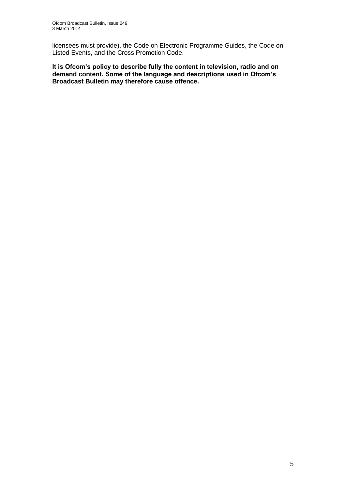licensees must provide), the Code on Electronic Programme Guides, the Code on Listed Events, and the Cross Promotion Code.

**It is Ofcom's policy to describe fully the content in television, radio and on demand content. Some of the language and descriptions used in Ofcom's Broadcast Bulletin may therefore cause offence.**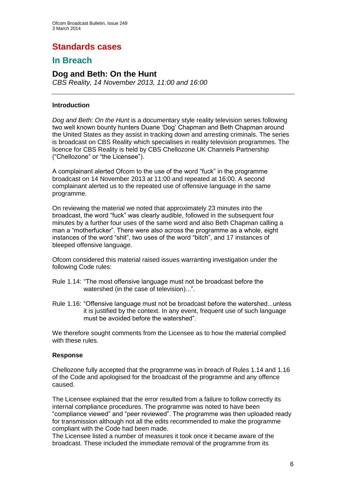# **Standards cases**

## **In Breach**

## **Dog and Beth: On the Hunt**

*CBS Reality, 14 November 2013, 11:00 and 16:00*

#### **Introduction**

*Dog and Beth: On the Hunt* is a documentary style reality television series following two well known bounty hunters Duane 'Dog' Chapman and Beth Chapman around the United States as they assist in tracking down and arresting criminals. The series is broadcast on CBS Reality which specialises in reality television programmes. The licence for CBS Reality is held by CBS Chellozone UK Channels Partnership ("Chellozone" or "the Licensee").

A complainant alerted Ofcom to the use of the word "fuck" in the programme broadcast on 14 November 2013 at 11:00 and repeated at 16:00. A second complainant alerted us to the repeated use of offensive language in the same programme.

On reviewing the material we noted that approximately 23 minutes into the broadcast, the word "fuck" was clearly audible, followed in the subsequent four minutes by a further four uses of the same word and also Beth Chapman calling a man a "motherfucker". There were also across the programme as a whole, eight instances of the word "shit", two uses of the word "bitch", and 17 instances of bleeped offensive language.

Ofcom considered this material raised issues warranting investigation under the following Code rules:

- Rule 1.14: "The most offensive language must not be broadcast before the watershed (in the case of television)...".
- Rule 1.16: "Offensive language must not be broadcast before the watershed...unless it is justified by the context. In any event, frequent use of such language must be avoided before the watershed".

We therefore sought comments from the Licensee as to how the material complied with these rules.

#### **Response**

Chellozone fully accepted that the programme was in breach of Rules 1.14 and 1.16 of the Code and apologised for the broadcast of the programme and any offence caused.

The Licensee explained that the error resulted from a failure to follow correctly its internal compliance procedures. The programme was noted to have been "compliance viewed" and "peer reviewed". The programme was then uploaded ready for transmission although not all the edits recommended to make the programme compliant with the Code had been made.

The Licensee listed a number of measures it took once it became aware of the broadcast. These included the immediate removal of the programme from its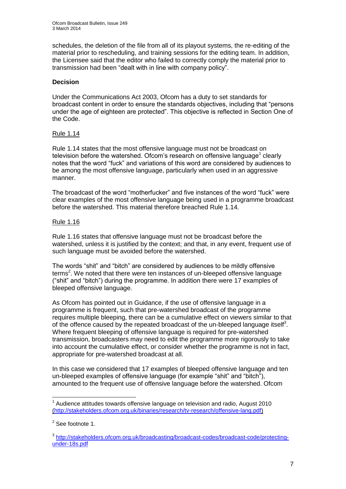schedules, the deletion of the file from all of its playout systems, the re-editing of the material prior to rescheduling, and training sessions for the editing team. In addition, the Licensee said that the editor who failed to correctly comply the material prior to transmission had been "dealt with in line with company policy".

#### **Decision**

Under the Communications Act 2003, Ofcom has a duty to set standards for broadcast content in order to ensure the standards objectives, including that "persons under the age of eighteen are protected". This objective is reflected in Section One of the Code.

#### Rule 1.14

Rule 1.14 states that the most offensive language must not be broadcast on television before the watershed. Ofcom's research on offensive language<sup>1</sup> clearly notes that the word "fuck" and variations of this word are considered by audiences to be among the most offensive language, particularly when used in an aggressive manner.

The broadcast of the word "motherfucker" and five instances of the word "fuck" were clear examples of the most offensive language being used in a programme broadcast before the watershed. This material therefore breached Rule 1.14.

#### Rule 1.16

Rule 1.16 states that offensive language must not be broadcast before the watershed, unless it is justified by the context; and that, in any event, frequent use of such language must be avoided before the watershed.

The words "shit" and "bitch" are considered by audiences to be mildly offensive  $t$ erms<sup>2</sup>. We noted that there were ten instances of un-bleeped offensive language ("shit" and "bitch") during the programme. In addition there were 17 examples of bleeped offensive language.

As Ofcom has pointed out in Guidance, if the use of offensive language in a programme is frequent, such that pre-watershed broadcast of the programme requires multiple bleeping, there can be a cumulative effect on viewers similar to that of the offence caused by the repeated broadcast of the un-bleeped language itself<sup>3</sup>. Where frequent bleeping of offensive language is required for pre-watershed transmission, broadcasters may need to edit the programme more rigorously to take into account the cumulative effect, or consider whether the programme is not in fact, appropriate for pre-watershed broadcast at all.

In this case we considered that 17 examples of bleeped offensive language and ten un-bleeped examples of offensive language (for example "shit" and "bitch"), amounted to the frequent use of offensive language before the watershed. Ofcom

<sup>1</sup>  $1$  Audience attitudes towards offensive language on television and radio, August 2010 [\(http://stakeholders.ofcom.org.uk/binaries/research/tv-research/offensive-lang.pdf\)](http://stakeholders.ofcom.org.uk/binaries/research/tv-research/offensive-lang.pdf)

 $2$  See footnote 1.

<sup>&</sup>lt;sup>3</sup>[http://stakeholders.ofcom.org.uk/broadcasting/broadcast-codes/broadcast-code/protecting](http://stakeholders.ofcom.org.uk/broadcasting/broadcast-codes/broadcast-code/protecting-under-18s.pdf)[under-18s.pdf](http://stakeholders.ofcom.org.uk/broadcasting/broadcast-codes/broadcast-code/protecting-under-18s.pdf)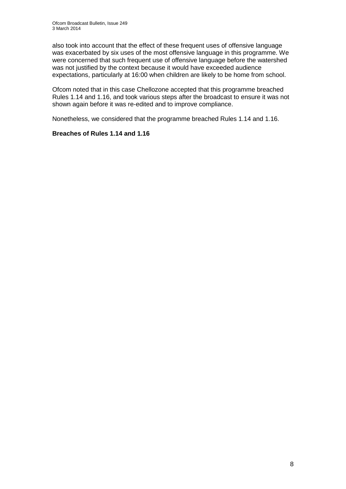also took into account that the effect of these frequent uses of offensive language was exacerbated by six uses of the most offensive language in this programme. We were concerned that such frequent use of offensive language before the watershed was not justified by the context because it would have exceeded audience expectations, particularly at 16:00 when children are likely to be home from school.

Ofcom noted that in this case Chellozone accepted that this programme breached Rules 1.14 and 1.16, and took various steps after the broadcast to ensure it was not shown again before it was re-edited and to improve compliance.

Nonetheless, we considered that the programme breached Rules 1.14 and 1.16.

#### **Breaches of Rules 1.14 and 1.16**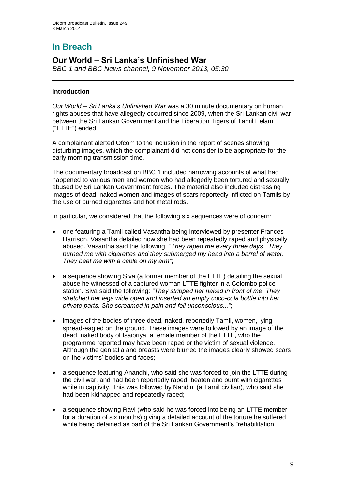# **In Breach**

## **Our World – Sri Lanka's Unfinished War**

*BBC 1 and BBC News channel, 9 November 2013, 05:30*

#### **Introduction**

*Our World – Sri Lanka's Unfinished War* was a 30 minute documentary on human rights abuses that have allegedly occurred since 2009, when the Sri Lankan civil war between the Sri Lankan Government and the Liberation Tigers of Tamil Eelam ("LTTE") ended.

A complainant alerted Ofcom to the inclusion in the report of scenes showing disturbing images, which the complainant did not consider to be appropriate for the early morning transmission time.

The documentary broadcast on BBC 1 included harrowing accounts of what had happened to various men and women who had allegedly been tortured and sexually abused by Sri Lankan Government forces. The material also included distressing images of dead, naked women and images of scars reportedly inflicted on Tamils by the use of burned cigarettes and hot metal rods.

In particular, we considered that the following six sequences were of concern:

- one featuring a Tamil called Vasantha being interviewed by presenter Frances Harrison. Vasantha detailed how she had been repeatedly raped and physically abused. Vasantha said the following: *"They raped me every three days...They burned me with cigarettes and they submerged my head into a barrel of water. They beat me with a cable on my arm"*;
- a sequence showing Siva (a former member of the LTTE) detailing the sexual abuse he witnessed of a captured woman LTTE fighter in a Colombo police station. Siva said the following: *"They stripped her naked in front of me. They stretched her legs wide open and inserted an empty coco-cola bottle into her private parts. She screamed in pain and fell unconscious..."*;
- images of the bodies of three dead, naked, reportedly Tamil, women, lying spread-eagled on the ground. These images were followed by an image of the dead, naked body of Isaipriya, a female member of the LTTE, who the programme reported may have been raped or the victim of sexual violence. Although the genitalia and breasts were blurred the images clearly showed scars on the victims' bodies and faces;
- a sequence featuring Anandhi, who said she was forced to join the LTTE during the civil war, and had been reportedly raped, beaten and burnt with cigarettes while in captivity. This was followed by Nandini (a Tamil civilian), who said she had been kidnapped and repeatedly raped;
- a sequence showing Ravi (who said he was forced into being an LTTE member for a duration of six months) giving a detailed account of the torture he suffered while being detained as part of the Sri Lankan Government's "rehabilitation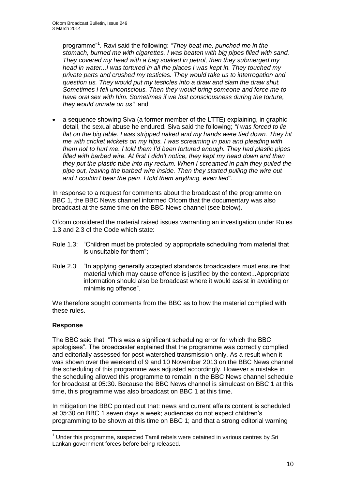programme"<sup>1</sup> . Ravi said the following: *"They beat me, punched me in the stomach, burned me with cigarettes. I was beaten with big pipes filled with sand. They covered my head with a bag soaked in petrol, then they submerged my head in water...I was tortured in all the places I was kept in. They touched my private parts and crushed my testicles. They would take us to interrogation and question us. They would put my testicles into a draw and slam the draw shut. Sometimes I fell unconscious. Then they would bring someone and force me to have oral sex with him. Sometimes if we lost consciousness during the torture, they would urinate on us"*; and

 a sequence showing Siva (a former member of the LTTE) explaining, in graphic detail, the sexual abuse he endured. Siva said the following; *"I was forced to lie flat on the big table. I was stripped naked and my hands were tied down. They hit me with cricket wickets on my hips. I was screaming in pain and pleading with them not to hurt me. I told them I'd been tortured enough. They had plastic pipes filled with barbed wire. At first I didn't notice, they kept my head down and then they put the plastic tube into my rectum. When I screamed in pain they pulled the pipe out, leaving the barbed wire inside. Then they started pulling the wire out and I couldn't bear the pain. I told them anything, even lied"*.

In response to a request for comments about the broadcast of the programme on BBC 1, the BBC News channel informed Ofcom that the documentary was also broadcast at the same time on the BBC News channel (see below).

Ofcom considered the material raised issues warranting an investigation under Rules 1.3 and 2.3 of the Code which state:

- Rule 1.3: "Children must be protected by appropriate scheduling from material that is unsuitable for them";
- Rule 2.3: "In applying generally accepted standards broadcasters must ensure that material which may cause offence is justified by the context...Appropriate information should also be broadcast where it would assist in avoiding or minimising offence".

We therefore sought comments from the BBC as to how the material complied with these rules.

#### **Response**

1

The BBC said that: "This was a significant scheduling error for which the BBC apologises". The broadcaster explained that the programme was correctly complied and editorially assessed for post-watershed transmission only. As a result when it was shown over the weekend of 9 and 10 November 2013 on the BBC News channel the scheduling of this programme was adjusted accordingly. However a mistake in the scheduling allowed this programme to remain in the BBC News channel schedule for broadcast at 05:30. Because the BBC News channel is simulcast on BBC 1 at this time, this programme was also broadcast on BBC 1 at this time.

In mitigation the BBC pointed out that: news and current affairs content is scheduled at 05:30 on BBC 1 seven days a week; audiences do not expect children's programming to be shown at this time on BBC 1; and that a strong editorial warning

 $<sup>1</sup>$  Under this programme, suspected Tamil rebels were detained in various centres by Sri</sup> Lankan government forces before being released.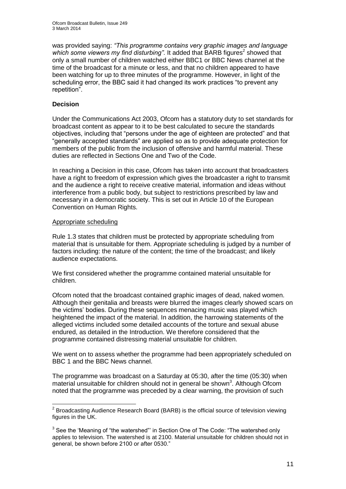was provided saying: *"This programme contains very graphic images and language*  which some viewers my find disturbing". It added that BARB figures<sup>2</sup> showed that only a small number of children watched either BBC1 or BBC News channel at the time of the broadcast for a minute or less, and that no children appeared to have been watching for up to three minutes of the programme. However, in light of the scheduling error, the BBC said it had changed its work practices "to prevent any repetition".

#### **Decision**

Under the Communications Act 2003, Ofcom has a statutory duty to set standards for broadcast content as appear to it to be best calculated to secure the standards objectives, including that "persons under the age of eighteen are protected" and that "generally accepted standards" are applied so as to provide adequate protection for members of the public from the inclusion of offensive and harmful material. These duties are reflected in Sections One and Two of the Code.

In reaching a Decision in this case, Ofcom has taken into account that broadcasters have a right to freedom of expression which gives the broadcaster a right to transmit and the audience a right to receive creative material, information and ideas without interference from a public body, but subject to restrictions prescribed by law and necessary in a democratic society. This is set out in Article 10 of the European Convention on Human Rights.

#### Appropriate scheduling

Rule 1.3 states that children must be protected by appropriate scheduling from material that is unsuitable for them. Appropriate scheduling is judged by a number of factors including: the nature of the content; the time of the broadcast; and likely audience expectations.

We first considered whether the programme contained material unsuitable for children.

Ofcom noted that the broadcast contained graphic images of dead, naked women. Although their genitalia and breasts were blurred the images clearly showed scars on the victims' bodies. During these sequences menacing music was played which heightened the impact of the material. In addition, the harrowing statements of the alleged victims included some detailed accounts of the torture and sexual abuse endured, as detailed in the Introduction. We therefore considered that the programme contained distressing material unsuitable for children.

We went on to assess whether the programme had been appropriately scheduled on BBC 1 and the BBC News channel.

The programme was broadcast on a Saturday at 05:30, after the time (05:30) when material unsuitable for children should not in general be shown<sup>3</sup>. Although Ofcom noted that the programme was preceded by a clear warning, the provision of such

<sup>1</sup>  $2$  Broadcasting Audience Research Board (BARB) is the official source of television viewing figures in the UK.

 $3$  See the 'Meaning of "the watershed"' in Section One of The Code: "The watershed only applies to television. The watershed is at 2100. Material unsuitable for children should not in general, be shown before 2100 or after 0530."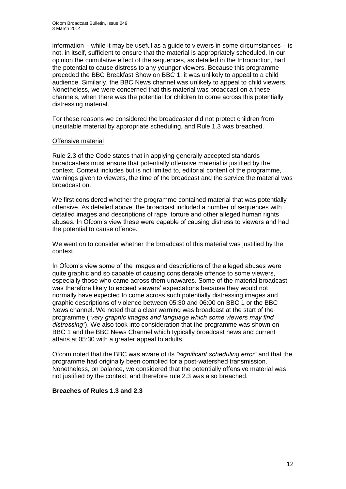information – while it may be useful as a guide to viewers in some circumstances – is not, in itself, sufficient to ensure that the material is appropriately scheduled. In our opinion the cumulative effect of the sequences, as detailed in the Introduction, had the potential to cause distress to any younger viewers. Because this programme preceded the BBC Breakfast Show on BBC 1, it was unlikely to appeal to a child audience. Similarly, the BBC News channel was unlikely to appeal to child viewers. Nonetheless, we were concerned that this material was broadcast on a these channels, when there was the potential for children to come across this potentially distressing material.

For these reasons we considered the broadcaster did not protect children from unsuitable material by appropriate scheduling, and Rule 1.3 was breached.

#### Offensive material

Rule 2.3 of the Code states that in applying generally accepted standards broadcasters must ensure that potentially offensive material is justified by the context. Context includes but is not limited to, editorial content of the programme, warnings given to viewers, the time of the broadcast and the service the material was broadcast on.

We first considered whether the programme contained material that was potentially offensive. As detailed above, the broadcast included a number of sequences with detailed images and descriptions of rape, torture and other alleged human rights abuses. In Ofcom's view these were capable of causing distress to viewers and had the potential to cause offence.

We went on to consider whether the broadcast of this material was justified by the context.

In Ofcom's view some of the images and descriptions of the alleged abuses were quite graphic and so capable of causing considerable offence to some viewers, especially those who came across them unawares. Some of the material broadcast was therefore likely to exceed viewers' expectations because they would not normally have expected to come across such potentially distressing images and graphic descriptions of violence between 05:30 and 06:00 on BBC 1 or the BBC News channel. We noted that a clear warning was broadcast at the start of the programme (*"very graphic images and language which some viewers may find distressing"*). We also took into consideration that the programme was shown on BBC 1 and the BBC News Channel which typically broadcast news and current affairs at 05:30 with a greater appeal to adults.

Ofcom noted that the BBC was aware of its *"significant scheduling error"* and that the programme had originally been complied for a post-watershed transmission. Nonetheless, on balance, we considered that the potentially offensive material was not justified by the context, and therefore rule 2.3 was also breached.

#### **Breaches of Rules 1.3 and 2.3**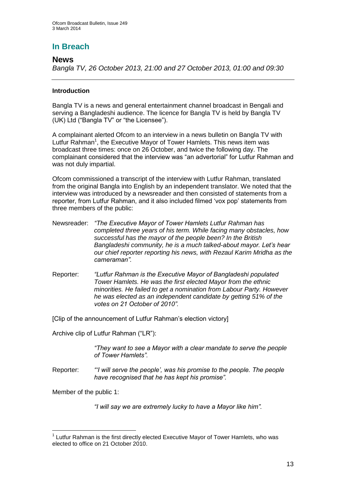## **In Breach**

#### **News**

*Bangla TV, 26 October 2013, 21:00 and 27 October 2013, 01:00 and 09:30*

#### **Introduction**

Bangla TV is a news and general entertainment channel broadcast in Bengali and serving a Bangladeshi audience. The licence for Bangla TV is held by Bangla TV (UK) Ltd ("Bangla TV" or "the Licensee").

A complainant alerted Ofcom to an interview in a news bulletin on Bangla TV with Lutfur Rahman<sup>1</sup>, the Executive Mayor of Tower Hamlets. This news item was broadcast three times: once on 26 October, and twice the following day. The complainant considered that the interview was "an advertorial" for Lutfur Rahman and was not duly impartial.

Ofcom commissioned a transcript of the interview with Lutfur Rahman, translated from the original Bangla into English by an independent translator. We noted that the interview was introduced by a newsreader and then consisted of statements from a reporter, from Lutfur Rahman, and it also included filmed 'vox pop' statements from three members of the public:

- Newsreader: *"The Executive Mayor of Tower Hamlets Lutfur Rahman has completed three years of his term. While facing many obstacles, how successful has the mayor of the people been? In the British Bangladeshi community, he is a much talked-about mayor. Let's hear our chief reporter reporting his news, with Rezaul Karim Mridha as the cameraman".*
- Reporter: *"Lutfur Rahman is the Executive Mayor of Bangladeshi populated Tower Hamlets. He was the first elected Mayor from the ethnic minorities. He failed to get a nomination from Labour Party. However he was elected as an independent candidate by getting 51% of the votes on 21 October of 2010".*

[Clip of the announcement of Lutfur Rahman's election victory]

Archive clip of Lutfur Rahman ("LR"):

*"They want to see a Mayor with a clear mandate to serve the people of Tower Hamlets".*

Reporter: *"'I will serve the people', was his promise to the people. The people have recognised that he has kept his promise".*

Member of the public 1:

1

*"I will say we are extremely lucky to have a Mayor like him".*

 $1$  Lutfur Rahman is the first directly elected Executive Mayor of Tower Hamlets, who was elected to office on 21 October 2010.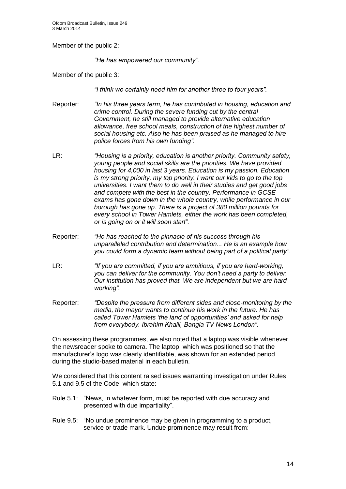Member of the public 2:

*"He has empowered our community".* 

Member of the public 3:

*"I think we certainly need him for another three to four years".*

- Reporter: *"In his three years term, he has contributed in housing, education and crime control. During the severe funding cut by the central Government, he still managed to provide alternative education allowance, free school meals, construction of the highest number of social housing etc. Also he has been praised as he managed to hire police forces from his own funding".*
- LR: *"Housing is a priority, education is another priority. Community safety, young people and social skills are the priorities. We have provided housing for 4,000 in last 3 years. Education is my passion. Education is my strong priority, my top priority. I want our kids to go to the top universities. I want them to do well in their studies and get good jobs and compete with the best in the country. Performance in GCSE exams has gone down in the whole country, while performance in our borough has gone up. There is a project of 380 million pounds for every school in Tower Hamlets, either the work has been completed, or is going on or it will soon start".*
- Reporter: *"He has reached to the pinnacle of his success through his unparalleled contribution and determination... He is an example how you could form a dynamic team without being part of a political party".*
- LR: *"If you are committed, if you are ambitious, if you are hard-working, you can deliver for the community. You don't need a party to deliver. Our institution has proved that. We are independent but we are hardworking".*
- Reporter: *"Despite the pressure from different sides and close-monitoring by the media, the mayor wants to continue his work in the future. He has called Tower Hamlets 'the land of opportunities' and asked for help from everybody. Ibrahim Khalil, Bangla TV News London".*

On assessing these programmes, we also noted that a laptop was visible whenever the newsreader spoke to camera. The laptop, which was positioned so that the manufacturer's logo was clearly identifiable, was shown for an extended period during the studio-based material in each bulletin.

We considered that this content raised issues warranting investigation under Rules 5.1 and 9.5 of the Code, which state:

- Rule 5.1: "News, in whatever form, must be reported with due accuracy and presented with due impartiality".
- Rule 9.5: "No undue prominence may be given in programming to a product, service or trade mark. Undue prominence may result from: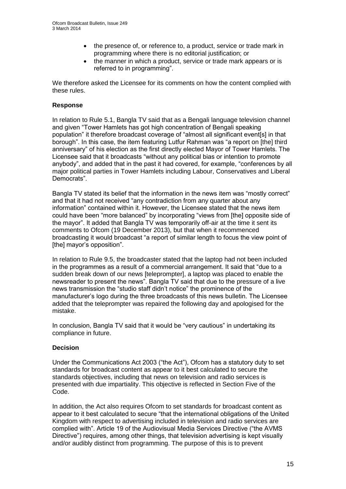- the presence of, or reference to, a product, service or trade mark in programming where there is no editorial justification; or
- the manner in which a product, service or trade mark appears or is referred to in programming".

We therefore asked the Licensee for its comments on how the content complied with these rules.

#### **Response**

In relation to Rule 5.1, Bangla TV said that as a Bengali language television channel and given "Tower Hamlets has got high concentration of Bengali speaking population" it therefore broadcast coverage of "almost all significant event[s] in that borough". In this case, the item featuring Lutfur Rahman was "a report on [the] third anniversary" of his election as the first directly elected Mayor of Tower Hamlets. The Licensee said that it broadcasts "without any political bias or intention to promote anybody", and added that in the past it had covered, for example, "conferences by all major political parties in Tower Hamlets including Labour, Conservatives and Liberal Democrats".

Bangla TV stated its belief that the information in the news item was "mostly correct" and that it had not received "any contradiction from any quarter about any information" contained within it. However, the Licensee stated that the news item could have been "more balanced" by incorporating "views from [the] opposite side of the mayor". It added that Bangla TV was temporarily off-air at the time it sent its comments to Ofcom (19 December 2013), but that when it recommenced broadcasting it would broadcast "a report of similar length to focus the view point of [the] mayor's opposition".

In relation to Rule 9.5, the broadcaster stated that the laptop had not been included in the programmes as a result of a commercial arrangement. It said that "due to a sudden break down of our news [teleprompter], a laptop was placed to enable the newsreader to present the news". Bangla TV said that due to the pressure of a live news transmission the "studio staff didn't notice" the prominence of the manufacturer's logo during the three broadcasts of this news bulletin. The Licensee added that the teleprompter was repaired the following day and apologised for the mistake.

In conclusion, Bangla TV said that it would be "very cautious" in undertaking its compliance in future.

#### **Decision**

Under the Communications Act 2003 ("the Act"), Ofcom has a statutory duty to set standards for broadcast content as appear to it best calculated to secure the standards objectives, including that news on television and radio services is presented with due impartiality. This objective is reflected in Section Five of the Code.

In addition, the Act also requires Ofcom to set standards for broadcast content as appear to it best calculated to secure "that the international obligations of the United Kingdom with respect to advertising included in television and radio services are complied with". Article 19 of the Audiovisual Media Services Directive ("the AVMS Directive") requires, among other things, that television advertising is kept visually and/or audibly distinct from programming. The purpose of this is to prevent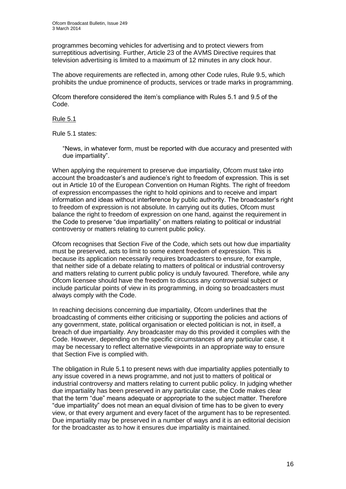programmes becoming vehicles for advertising and to protect viewers from surreptitious advertising. Further, Article 23 of the AVMS Directive requires that television advertising is limited to a maximum of 12 minutes in any clock hour.

The above requirements are reflected in, among other Code rules, Rule 9.5, which prohibits the undue prominence of products, services or trade marks in programming.

Ofcom therefore considered the item's compliance with Rules 5.1 and 9.5 of the Code.

#### Rule 5.1

Rule 5.1 states:

"News, in whatever form, must be reported with due accuracy and presented with due impartiality".

When applying the requirement to preserve due impartiality, Ofcom must take into account the broadcaster's and audience's right to freedom of expression. This is set out in Article 10 of the European Convention on Human Rights. The right of freedom of expression encompasses the right to hold opinions and to receive and impart information and ideas without interference by public authority. The broadcaster's right to freedom of expression is not absolute. In carrying out its duties, Ofcom must balance the right to freedom of expression on one hand, against the requirement in the Code to preserve "due impartiality" on matters relating to political or industrial controversy or matters relating to current public policy.

Ofcom recognises that Section Five of the Code, which sets out how due impartiality must be preserved, acts to limit to some extent freedom of expression. This is because its application necessarily requires broadcasters to ensure, for example, that neither side of a debate relating to matters of political or industrial controversy and matters relating to current public policy is unduly favoured. Therefore, while any Ofcom licensee should have the freedom to discuss any controversial subject or include particular points of view in its programming, in doing so broadcasters must always comply with the Code.

In reaching decisions concerning due impartiality, Ofcom underlines that the broadcasting of comments either criticising or supporting the policies and actions of any government, state, political organisation or elected politician is not, in itself, a breach of due impartiality. Any broadcaster may do this provided it complies with the Code. However, depending on the specific circumstances of any particular case, it may be necessary to reflect alternative viewpoints in an appropriate way to ensure that Section Five is complied with.

The obligation in Rule 5.1 to present news with due impartiality applies potentially to any issue covered in a news programme, and not just to matters of political or industrial controversy and matters relating to current public policy. In judging whether due impartiality has been preserved in any particular case, the Code makes clear that the term "due" means adequate or appropriate to the subject matter. Therefore "due impartiality" does not mean an equal division of time has to be given to every view, or that every argument and every facet of the argument has to be represented. Due impartiality may be preserved in a number of ways and it is an editorial decision for the broadcaster as to how it ensures due impartiality is maintained.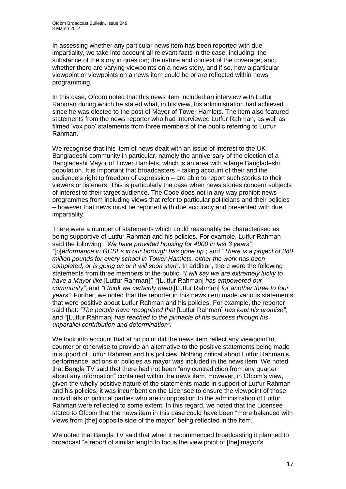In assessing whether any particular news item has been reported with due impartiality, we take into account all relevant facts in the case, including: the substance of the story in question; the nature and context of the coverage; and, whether there are varying viewpoints on a news story, and if so, how a particular viewpoint or viewpoints on a news item could be or are reflected within news programming.

In this case, Ofcom noted that this news item included an interview with Lutfur Rahman during which he stated what, in his view, his administration had achieved since he was elected to the post of Mayor of Tower Hamlets. The item also featured statements from the news reporter who had interviewed Lutfur Rahman, as well as filmed 'vox pop' statements from three members of the public referring to Lutfur Rahman.

We recognise that this item of news dealt with an issue of interest to the UK Bangladeshi community in particular, namely the anniversary of the election of a Bangladeshi Mayor of Tower Hamlets, which is an area with a large Bangladeshi population. It is important that broadcasters – taking account of their and the audience's right to freedom of expression – are able to report such stories to their viewers or listeners. This is particularly the case when news stories concern subjects of interest to their target audience. The Code does not in any way prohibit news programmes from including views that refer to particular politicians and their policies – however that news must be reported with due accuracy and presented with due impartiality.

There were a number of statements which could reasonably be characterised as being supportive of Lutfur Rahman and his policies. For example, Lutfur Rahman said the following: *"We have provided housing for 4000 in last 3 years"*; *"*[p]*erformance in GCSEs in our borough has gone up"*; and *"There is a project of 380 million pounds for every school in Tower Hamlets, either the work has been completed, or is going on or it will soon start".* In addition, there were the following statements from three members of the public: *"I will say we are extremely lucky to have a Mayor like* [Lutfur Rahman]*"*; *"*[Lutfur Rahman] *has empowered our community"*; and *"I think we certainly need* [Lutfur Rahman] *for another three to four years".* Further, we noted that the reporter in this news item made various statements that were positive about Lutfur Rahman and his policies. For example, the reporter said that: *"The people have recognised that* [Lutfur Rahman] *has kept his promise"*; and *"*[Lutfur Rahman] *has reached to the pinnacle of his success through his unparallel contribution and determination".*

We took into account that at no point did the news item reflect any viewpoint to counter or otherwise to provide an alternative to the positive statements being made in support of Lutfur Rahman and his policies. Nothing critical about Lutfur Rahman's performance, actions or policies as mayor was included in the news item. We noted that Bangla TV said that there had not been "any contradiction from any quarter about any information" contained within the news item. However, in Ofcom's view, given the wholly positive nature of the statements made in support of Lutfur Rahman and his policies, it was incumbent on the Licensee to ensure the viewpoint of those individuals or political parties who are in opposition to the administration of Lutfur Rahman were reflected to some extent. In this regard, we noted that the Licensee stated to Ofcom that the news item in this case could have been "more balanced with views from [the] opposite side of the mayor" being reflected in the item.

We noted that Bangla TV said that when it recommenced broadcasting it planned to broadcast "a report of similar length to focus the view point of [the] mayor's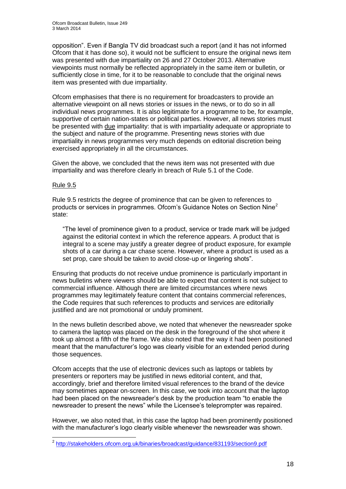opposition". Even if Bangla TV did broadcast such a report (and it has not informed Ofcom that it has done so), it would not be sufficient to ensure the original news item was presented with due impartiality on 26 and 27 October 2013. Alternative viewpoints must normally be reflected appropriately in the same item or bulletin, or sufficiently close in time, for it to be reasonable to conclude that the original news item was presented with due impartiality.

Ofcom emphasises that there is no requirement for broadcasters to provide an alternative viewpoint on all news stories or issues in the news, or to do so in all individual news programmes. It is also legitimate for a programme to be, for example, supportive of certain nation-states or political parties. However, all news stories must be presented with due impartiality: that is with impartiality adequate or appropriate to the subject and nature of the programme. Presenting news stories with due impartiality in news programmes very much depends on editorial discretion being exercised appropriately in all the circumstances.

Given the above, we concluded that the news item was not presented with due impartiality and was therefore clearly in breach of Rule 5.1 of the Code.

#### Rule 9.5

Rule 9.5 restricts the degree of prominence that can be given to references to products or services in programmes. Ofcom's Guidance Notes on Section Nine<sup>2</sup> state:

"The level of prominence given to a product, service or trade mark will be judged against the editorial context in which the reference appears. A product that is integral to a scene may justify a greater degree of product exposure, for example shots of a car during a car chase scene. However, where a product is used as a set prop, care should be taken to avoid close-up or lingering shots".

Ensuring that products do not receive undue prominence is particularly important in news bulletins where viewers should be able to expect that content is not subject to commercial influence. Although there are limited circumstances where news programmes may legitimately feature content that contains commercial references, the Code requires that such references to products and services are editorially justified and are not promotional or unduly prominent.

In the news bulletin described above, we noted that whenever the newsreader spoke to camera the laptop was placed on the desk in the foreground of the shot where it took up almost a fifth of the frame. We also noted that the way it had been positioned meant that the manufacturer's logo was clearly visible for an extended period during those sequences.

Ofcom accepts that the use of electronic devices such as laptops or tablets by presenters or reporters may be justified in news editorial content, and that, accordingly, brief and therefore limited visual references to the brand of the device may sometimes appear on-screen. In this case, we took into account that the laptop had been placed on the newsreader's desk by the production team "to enable the newsreader to present the news" while the Licensee's teleprompter was repaired.

However, we also noted that, in this case the laptop had been prominently positioned with the manufacturer's logo clearly visible whenever the newsreader was shown.

 2 <http://stakeholders.ofcom.org.uk/binaries/broadcast/guidance/831193/section9.pdf>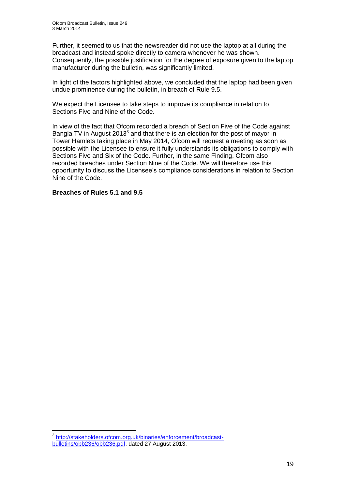Further, it seemed to us that the newsreader did not use the laptop at all during the broadcast and instead spoke directly to camera whenever he was shown. Consequently, the possible justification for the degree of exposure given to the laptop manufacturer during the bulletin, was significantly limited.

In light of the factors highlighted above, we concluded that the laptop had been given undue prominence during the bulletin, in breach of Rule 9.5.

We expect the Licensee to take steps to improve its compliance in relation to Sections Five and Nine of the Code.

In view of the fact that Ofcom recorded a breach of Section Five of the Code against Bangla TV in August 2013<sup>3</sup> and that there is an election for the post of mayor in Tower Hamlets taking place in May 2014, Ofcom will request a meeting as soon as possible with the Licensee to ensure it fully understands its obligations to comply with Sections Five and Six of the Code. Further, in the same Finding, Ofcom also recorded breaches under Section Nine of the Code. We will therefore use this opportunity to discuss the Licensee's compliance considerations in relation to Section Nine of the Code.

#### **Breaches of Rules 5.1 and 9.5**

1

<sup>3</sup> [http://stakeholders.ofcom.org.uk/binaries/enforcement/broadcast](http://stakeholders.ofcom.org.uk/binaries/enforcement/broadcast-bulletins/obb236/obb236.pdf)[bulletins/obb236/obb236.pdf,](http://stakeholders.ofcom.org.uk/binaries/enforcement/broadcast-bulletins/obb236/obb236.pdf) dated 27 August 2013.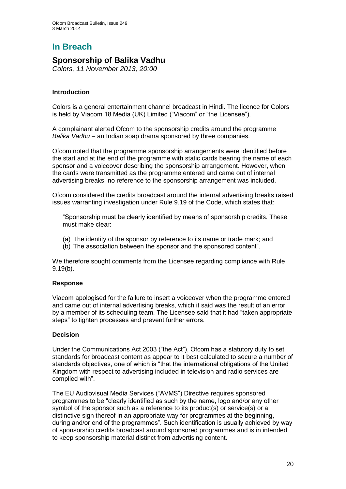# **In Breach**

## **Sponsorship of Balika Vadhu**

*Colors, 11 November 2013, 20:00*

#### **Introduction**

Colors is a general entertainment channel broadcast in Hindi. The licence for Colors is held by Viacom 18 Media (UK) Limited ("Viacom" or "the Licensee").

A complainant alerted Ofcom to the sponsorship credits around the programme *Balika Vadhu* – an Indian soap drama sponsored by three companies.

Ofcom noted that the programme sponsorship arrangements were identified before the start and at the end of the programme with static cards bearing the name of each sponsor and a voiceover describing the sponsorship arrangement. However, when the cards were transmitted as the programme entered and came out of internal advertising breaks, no reference to the sponsorship arrangement was included.

Ofcom considered the credits broadcast around the internal advertising breaks raised issues warranting investigation under Rule 9.19 of the Code, which states that:

"Sponsorship must be clearly identified by means of sponsorship credits. These must make clear:

- (a) The identity of the sponsor by reference to its name or trade mark; and
- (b) The association between the sponsor and the sponsored content".

We therefore sought comments from the Licensee regarding compliance with Rule 9.19(b).

#### **Response**

Viacom apologised for the failure to insert a voiceover when the programme entered and came out of internal advertising breaks, which it said was the result of an error by a member of its scheduling team. The Licensee said that it had "taken appropriate steps" to tighten processes and prevent further errors.

#### **Decision**

Under the Communications Act 2003 ("the Act"), Ofcom has a statutory duty to set standards for broadcast content as appear to it best calculated to secure a number of standards objectives, one of which is "that the international obligations of the United Kingdom with respect to advertising included in television and radio services are complied with".

The EU Audiovisual Media Services ("AVMS") Directive requires sponsored programmes to be "clearly identified as such by the name, logo and/or any other symbol of the sponsor such as a reference to its product(s) or service(s) or a distinctive sign thereof in an appropriate way for programmes at the beginning, during and/or end of the programmes". Such identification is usually achieved by way of sponsorship credits broadcast around sponsored programmes and is in intended to keep sponsorship material distinct from advertising content.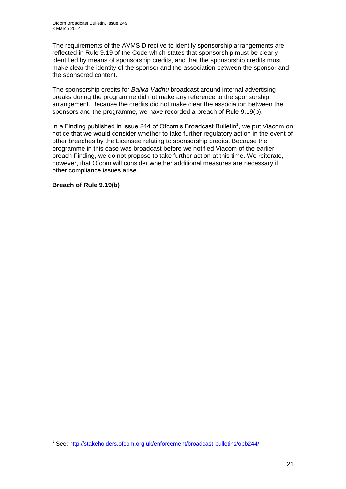The requirements of the AVMS Directive to identify sponsorship arrangements are reflected in Rule 9.19 of the Code which states that sponsorship must be clearly identified by means of sponsorship credits, and that the sponsorship credits must make clear the identity of the sponsor and the association between the sponsor and the sponsored content.

The sponsorship credits for *Balika Vadhu* broadcast around internal advertising breaks during the programme did not make any reference to the sponsorship arrangement. Because the credits did not make clear the association between the sponsors and the programme, we have recorded a breach of Rule 9.19(b).

In a Finding published in issue 244 of Ofcom's Broadcast Bulletin<sup>1</sup>, we put Viacom on notice that we would consider whether to take further regulatory action in the event of other breaches by the Licensee relating to sponsorship credits. Because the programme in this case was broadcast before we notified Viacom of the earlier breach Finding, we do not propose to take further action at this time. We reiterate, however, that Ofcom will consider whether additional measures are necessary if other compliance issues arise.

**Breach of Rule 9.19(b)**

<sup>1</sup> <sup>1</sup> See: [http://stakeholders.ofcom.org.uk/enforcement/broadcast-bulletins/obb244/.](http://stakeholders.ofcom.org.uk/enforcement/broadcast-bulletins/obb244/)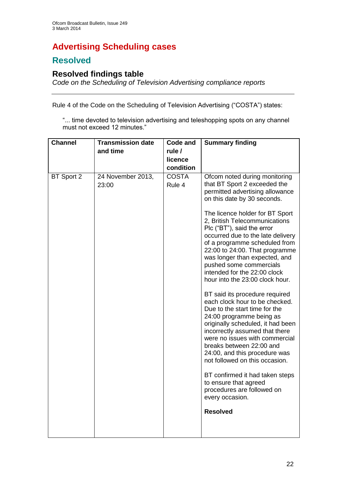# **Advertising Scheduling cases**

# **Resolved**

## **Resolved findings table**

*Code on the Scheduling of Television Advertising compliance reports*

Rule 4 of the Code on the Scheduling of Television Advertising ("COSTA") states:

"... time devoted to television advertising and teleshopping spots on any channel must not exceed 12 minutes."

| <b>Channel</b> | <b>Transmission date</b>   | <b>Code and</b>        | <b>Summary finding</b>                                                                                                                                                                                                                                                                                                                                                                                                                                                                                                                                                                                                                                                                                                                                                                                            |
|----------------|----------------------------|------------------------|-------------------------------------------------------------------------------------------------------------------------------------------------------------------------------------------------------------------------------------------------------------------------------------------------------------------------------------------------------------------------------------------------------------------------------------------------------------------------------------------------------------------------------------------------------------------------------------------------------------------------------------------------------------------------------------------------------------------------------------------------------------------------------------------------------------------|
|                | and time                   | rule /                 |                                                                                                                                                                                                                                                                                                                                                                                                                                                                                                                                                                                                                                                                                                                                                                                                                   |
|                |                            | licence                |                                                                                                                                                                                                                                                                                                                                                                                                                                                                                                                                                                                                                                                                                                                                                                                                                   |
|                |                            | condition              |                                                                                                                                                                                                                                                                                                                                                                                                                                                                                                                                                                                                                                                                                                                                                                                                                   |
| BT Sport 2     | 24 November 2013,<br>23:00 | <b>COSTA</b><br>Rule 4 | Ofcom noted during monitoring<br>that BT Sport 2 exceeded the<br>permitted advertising allowance<br>on this date by 30 seconds.<br>The licence holder for BT Sport<br>2, British Telecommunications<br>Plc ("BT"), said the error<br>occurred due to the late delivery<br>of a programme scheduled from<br>22:00 to 24:00. That programme<br>was longer than expected, and<br>pushed some commercials<br>intended for the 22:00 clock<br>hour into the 23:00 clock hour.<br>BT said its procedure required<br>each clock hour to be checked.<br>Due to the start time for the<br>24:00 programme being as<br>originally scheduled, it had been<br>incorrectly assumed that there<br>were no issues with commercial<br>breaks between 22:00 and<br>24:00, and this procedure was<br>not followed on this occasion. |
|                |                            |                        | BT confirmed it had taken steps<br>to ensure that agreed<br>procedures are followed on<br>every occasion.                                                                                                                                                                                                                                                                                                                                                                                                                                                                                                                                                                                                                                                                                                         |
|                |                            |                        | <b>Resolved</b>                                                                                                                                                                                                                                                                                                                                                                                                                                                                                                                                                                                                                                                                                                                                                                                                   |
|                |                            |                        |                                                                                                                                                                                                                                                                                                                                                                                                                                                                                                                                                                                                                                                                                                                                                                                                                   |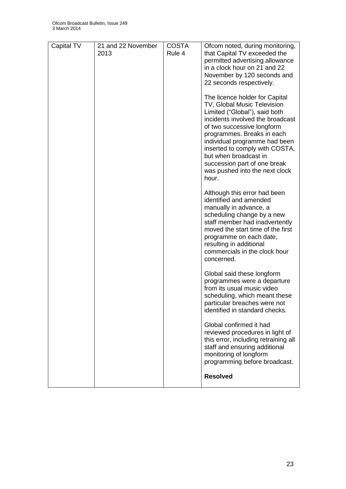| Capital TV | 21 and 22 November<br>2013 | <b>COSTA</b><br>Rule 4 | Ofcom noted, during monitoring,<br>that Capital TV exceeded the<br>permitted advertising allowance<br>in a clock hour on 21 and 22<br>November by 120 seconds and<br>22 seconds respectively.                                                                                                                                                                         |
|------------|----------------------------|------------------------|-----------------------------------------------------------------------------------------------------------------------------------------------------------------------------------------------------------------------------------------------------------------------------------------------------------------------------------------------------------------------|
|            |                            |                        | The licence holder for Capital<br>TV, Global Music Television<br>Limited ("Global"), said both<br>incidents involved the broadcast<br>of two successive longform<br>programmes. Breaks in each<br>individual programme had been<br>inserted to comply with COSTA,<br>but when broadcast in<br>succession part of one break<br>was pushed into the next clock<br>hour. |
|            |                            |                        | Although this error had been<br>identified and amended<br>manually in advance, a<br>scheduling change by a new<br>staff member had inadvertently<br>moved the start time of the first<br>programme on each date,<br>resulting in additional<br>commercials in the clock hour<br>concerned.                                                                            |
|            |                            |                        | Global said these longform<br>programmes were a departure<br>from its usual music video<br>scheduling, which meant these<br>particular breaches were not<br>identified in standard checks.                                                                                                                                                                            |
|            |                            |                        | Global confirmed it had<br>reviewed procedures in light of<br>this error, including retraining all<br>staff and ensuring additional<br>monitoring of longform<br>programming before broadcast.                                                                                                                                                                        |
|            |                            |                        | <b>Resolved</b>                                                                                                                                                                                                                                                                                                                                                       |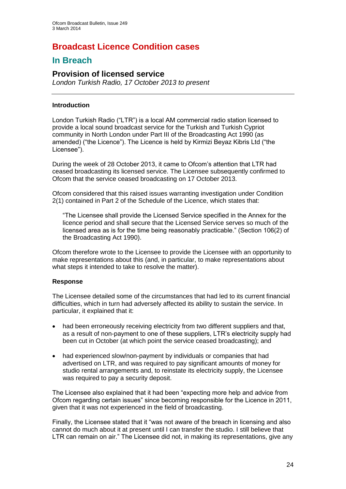# **Broadcast Licence Condition cases**

## **In Breach**

## **Provision of licensed service**

*London Turkish Radio, 17 October 2013 to present*

#### **Introduction**

London Turkish Radio ("LTR") is a local AM commercial radio station licensed to provide a local sound broadcast service for the Turkish and Turkish Cypriot community in North London under Part III of the Broadcasting Act 1990 (as amended) ("the Licence"). The Licence is held by Kirmizi Beyaz Kibris Ltd ("the Licensee").

During the week of 28 October 2013, it came to Ofcom's attention that LTR had ceased broadcasting its licensed service. The Licensee subsequently confirmed to Ofcom that the service ceased broadcasting on 17 October 2013.

Ofcom considered that this raised issues warranting investigation under Condition 2(1) contained in Part 2 of the Schedule of the Licence, which states that:

"The Licensee shall provide the Licensed Service specified in the Annex for the licence period and shall secure that the Licensed Service serves so much of the licensed area as is for the time being reasonably practicable." (Section 106(2) of the Broadcasting Act 1990).

Ofcom therefore wrote to the Licensee to provide the Licensee with an opportunity to make representations about this (and, in particular, to make representations about what steps it intended to take to resolve the matter).

#### **Response**

The Licensee detailed some of the circumstances that had led to its current financial difficulties, which in turn had adversely affected its ability to sustain the service. In particular, it explained that it:

- had been erroneously receiving electricity from two different suppliers and that, as a result of non-payment to one of these suppliers, LTR's electricity supply had been cut in October (at which point the service ceased broadcasting); and
- had experienced slow/non-payment by individuals or companies that had advertised on LTR, and was required to pay significant amounts of money for studio rental arrangements and, to reinstate its electricity supply, the Licensee was required to pay a security deposit.

The Licensee also explained that it had been "expecting more help and advice from Ofcom regarding certain issues" since becoming responsible for the Licence in 2011, given that it was not experienced in the field of broadcasting.

Finally, the Licensee stated that it "was not aware of the breach in licensing and also cannot do much about it at present until I can transfer the studio. I still believe that LTR can remain on air." The Licensee did not, in making its representations, give any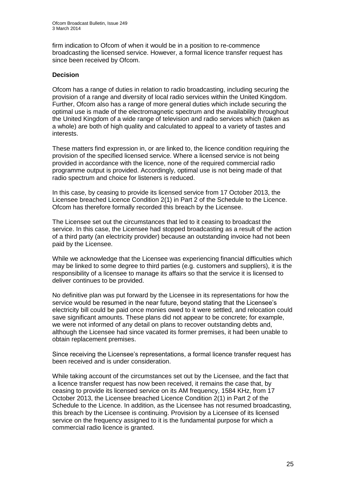firm indication to Ofcom of when it would be in a position to re-commence broadcasting the licensed service. However, a formal licence transfer request has since been received by Ofcom.

#### **Decision**

Ofcom has a range of duties in relation to radio broadcasting, including securing the provision of a range and diversity of local radio services within the United Kingdom. Further, Ofcom also has a range of more general duties which include securing the optimal use is made of the electromagnetic spectrum and the availability throughout the United Kingdom of a wide range of television and radio services which (taken as a whole) are both of high quality and calculated to appeal to a variety of tastes and interests.

These matters find expression in, or are linked to, the licence condition requiring the provision of the specified licensed service. Where a licensed service is not being provided in accordance with the licence, none of the required commercial radio programme output is provided. Accordingly, optimal use is not being made of that radio spectrum and choice for listeners is reduced.

In this case, by ceasing to provide its licensed service from 17 October 2013, the Licensee breached Licence Condition 2(1) in Part 2 of the Schedule to the Licence. Ofcom has therefore formally recorded this breach by the Licensee.

The Licensee set out the circumstances that led to it ceasing to broadcast the service. In this case, the Licensee had stopped broadcasting as a result of the action of a third party (an electricity provider) because an outstanding invoice had not been paid by the Licensee.

While we acknowledge that the Licensee was experiencing financial difficulties which may be linked to some degree to third parties (e.g. customers and suppliers), it is the responsibility of a licensee to manage its affairs so that the service it is licensed to deliver continues to be provided.

No definitive plan was put forward by the Licensee in its representations for how the service would be resumed in the near future, beyond stating that the Licensee's electricity bill could be paid once monies owed to it were settled, and relocation could save significant amounts. These plans did not appear to be concrete; for example, we were not informed of any detail on plans to recover outstanding debts and, although the Licensee had since vacated its former premises, it had been unable to obtain replacement premises.

Since receiving the Licensee's representations, a formal licence transfer request has been received and is under consideration.

While taking account of the circumstances set out by the Licensee, and the fact that a licence transfer request has now been received, it remains the case that, by ceasing to provide its licensed service on its AM frequency, 1584 KHz, from 17 October 2013, the Licensee breached Licence Condition 2(1) in Part 2 of the Schedule to the Licence. In addition, as the Licensee has not resumed broadcasting, this breach by the Licensee is continuing. Provision by a Licensee of its licensed service on the frequency assigned to it is the fundamental purpose for which a commercial radio licence is granted.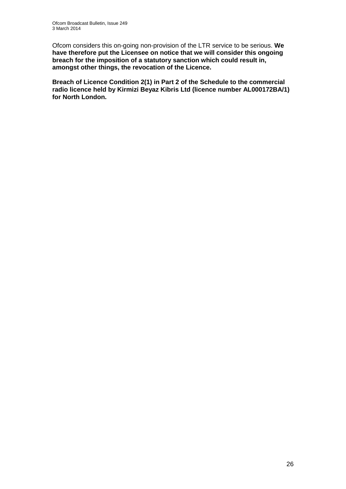Ofcom considers this on-going non-provision of the LTR service to be serious. **We have therefore put the Licensee on notice that we will consider this ongoing breach for the imposition of a statutory sanction which could result in, amongst other things, the revocation of the Licence.**

**Breach of Licence Condition 2(1) in Part 2 of the Schedule to the commercial radio licence held by Kirmizi Beyaz Kibris Ltd (licence number AL000172BA/1) for North London.**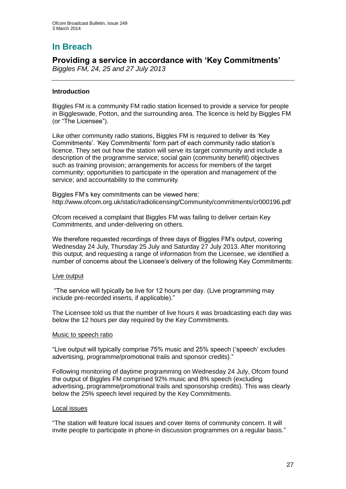# **In Breach**

# **Providing a service in accordance with 'Key Commitments'**

*Biggles FM, 24, 25 and 27 July 2013*

#### **Introduction**

Biggles FM is a community FM radio station licensed to provide a service for people in Biggleswade, Potton, and the surrounding area. The licence is held by Biggles FM (or "The Licensee").

Like other community radio stations, Biggles FM is required to deliver its 'Key Commitments'. 'Key Commitments' form part of each community radio station's licence. They set out how the station will serve its target community and include a description of the programme service; social gain (community benefit) objectives such as training provision; arrangements for access for members of the target community; opportunities to participate in the operation and management of the service; and accountability to the community.

Biggles FM's key commitments can be viewed here: <http://www.ofcom.org.uk/static/radiolicensing/Community/commitments/cr000196.pdf>

Ofcom received a complaint that Biggles FM was failing to deliver certain Key Commitments, and under-delivering on others.

We therefore requested recordings of three days of Biggles FM's output, covering Wednesday 24 July, Thursday 25 July and Saturday 27 July 2013. After monitoring this output, and requesting a range of information from the Licensee, we identified a number of concerns about the Licensee's delivery of the following Key Commitments:

#### Live output

"The service will typically be live for 12 hours per day. (Live programming may include pre-recorded inserts, if applicable)."

The Licensee told us that the number of live hours it was broadcasting each day was below the 12 hours per day required by the Key Commitments.

#### Music to speech ratio

"Live output will typically comprise 75% music and 25% speech ('speech' excludes advertising, programme/promotional trails and sponsor credits)."

Following monitoring of daytime programming on Wednesday 24 July, Ofcom found the output of Biggles FM comprised 92% music and 8% speech (excluding advertising, programme/promotional trails and sponsorship credits). This was clearly below the 25% speech level required by the Key Commitments.

#### Local issues

"The station will feature local issues and cover items of community concern. It will invite people to participate in phone-in discussion programmes on a regular basis."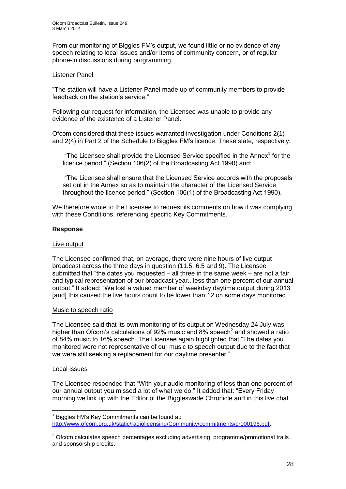From our monitoring of Biggles FM's output, we found little or no evidence of any speech relating to local issues and/or items of community concern, or of regular phone-in discussions during programming.

#### Listener Panel

"The station will have a Listener Panel made up of community members to provide feedback on the station's service."

Following our request for information, the Licensee was unable to provide any evidence of the existence of a Listener Panel.

Ofcom considered that these issues warranted investigation under Conditions 2(1) and 2(4) in Part 2 of the Schedule to Biggles FM's licence. These state, respectively:

"The Licensee shall provide the Licensed Service specified in the Annex $<sup>1</sup>$  for the</sup> licence period." (Section 106(2) of the Broadcasting Act 1990) and;

"The Licensee shall ensure that the Licensed Service accords with the proposals set out in the Annex so as to maintain the character of the Licensed Service throughout the licence period." (Section 106(1) of the Broadcasting Act 1990).

We therefore wrote to the Licensee to request its comments on how it was complying with these Conditions, referencing specific Key Commitments.

#### **Response**

#### Live output

The Licensee confirmed that, on average, there were nine hours of live output broadcast across the three days in question (11.5, 6.5 and 9). The Licensee submitted that "the dates you requested – all three in the same week – are not a fair and typical representation of our broadcast year...less than one percent of our annual output." It added: "We lost a valued member of weekday daytime output during 2013 [and] this caused the live hours count to be lower than 12 on some days monitored."

#### Music to speech ratio

The Licensee said that its own monitoring of its output on Wednesday 24 July was higher than Ofcom's calculations of 92% music and 8% speech<sup>2</sup> and showed a ratio of 84% music to 16% speech. The Licensee again highlighted that "The dates you monitored were not representative of our music to speech output due to the fact that we were still seeking a replacement for our daytime presenter."

#### Local issues

1

The Licensee responded that "With your audio monitoring of less than one percent of our annual output you missed a lot of what we do." It added that: "Every Friday morning we link up with the Editor of the Biggleswade Chronicle and in this live chat

<sup>1</sup> Biggles FM's Key Commitments can be found at: [http://www.ofcom.org.uk/static/radiolicensing/Community/commitments/cr000196.pdf.](http://www.ofcom.org.uk/static/radiolicensing/Community/commitments/cr000196.pdf)

 $2$  Ofcom calculates speech percentages excluding advertising, programme/promotional trails and sponsorship credits.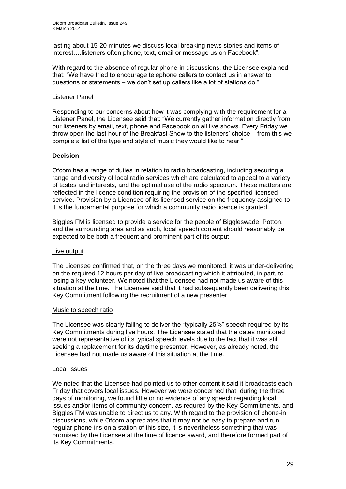lasting about 15-20 minutes we discuss local breaking news stories and items of interest….listeners often phone, text, email or message us on Facebook".

With regard to the absence of regular phone-in discussions, the Licensee explained that: "We have tried to encourage telephone callers to contact us in answer to questions or statements – we don't set up callers like a lot of stations do."

#### Listener Panel

Responding to our concerns about how it was complying with the requirement for a Listener Panel, the Licensee said that: "We currently gather information directly from our listeners by email, text, phone and Facebook on all live shows. Every Friday we throw open the last hour of the Breakfast Show to the listeners' choice – from this we compile a list of the type and style of music they would like to hear."

#### **Decision**

Ofcom has a range of duties in relation to radio broadcasting, including securing a range and diversity of local radio services which are calculated to appeal to a variety of tastes and interests, and the optimal use of the radio spectrum. These matters are reflected in the licence condition requiring the provision of the specified licensed service. Provision by a Licensee of its licensed service on the frequency assigned to it is the fundamental purpose for which a community radio licence is granted.

Biggles FM is licensed to provide a service for the people of Biggleswade, Potton, and the surrounding area and as such, local speech content should reasonably be expected to be both a frequent and prominent part of its output.

#### Live output

The Licensee confirmed that, on the three days we monitored, it was under-delivering on the required 12 hours per day of live broadcasting which it attributed, in part, to losing a key volunteer. We noted that the Licensee had not made us aware of this situation at the time. The Licensee said that it had subsequently been delivering this Key Commitment following the recruitment of a new presenter.

#### Music to speech ratio

The Licensee was clearly failing to deliver the "typically 25%" speech required by its Key Commitments during live hours. The Licensee stated that the dates monitored were not representative of its typical speech levels due to the fact that it was still seeking a replacement for its daytime presenter. However, as already noted, the Licensee had not made us aware of this situation at the time.

#### Local issues

We noted that the Licensee had pointed us to other content it said it broadcasts each Friday that covers local issues. However we were concerned that, during the three days of monitoring, we found little or no evidence of any speech regarding local issues and/or items of community concern, as requred by the Key Commitments, and Biggles FM was unable to direct us to any. With regard to the provision of phone-in discussions, while Ofcom appreciates that it may not be easy to prepare and run regular phone-ins on a station of this size, it is nevertheless something that was promised by the Licensee at the time of licence award, and therefore formed part of its Key Commitments.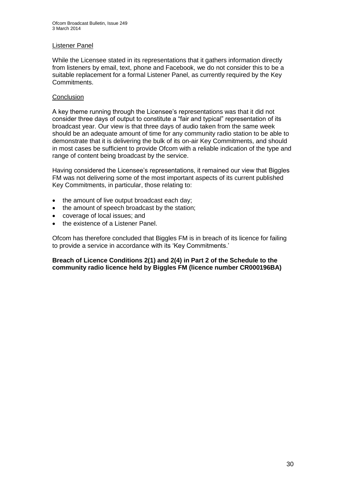#### Listener Panel

While the Licensee stated in its representations that it gathers information directly from listeners by email, text, phone and Facebook, we do not consider this to be a suitable replacement for a formal Listener Panel, as currently required by the Key Commitments.

#### **Conclusion**

A key theme running through the Licensee's representations was that it did not consider three days of output to constitute a "fair and typical" representation of its broadcast year. Our view is that three days of audio taken from the same week should be an adequate amount of time for any community radio station to be able to demonstrate that it is delivering the bulk of its on-air Key Commitments, and should in most cases be sufficient to provide Ofcom with a reliable indication of the type and range of content being broadcast by the service.

Having considered the Licensee's representations, it remained our view that Biggles FM was not delivering some of the most important aspects of its current published Key Commitments, in particular, those relating to:

- the amount of live output broadcast each day;
- the amount of speech broadcast by the station;
- coverage of local issues; and
- the existence of a Listener Panel.

Ofcom has therefore concluded that Biggles FM is in breach of its licence for failing to provide a service in accordance with its 'Key Commitments.'

#### **Breach of Licence Conditions 2(1) and 2(4) in Part 2 of the Schedule to the community radio licence held by Biggles FM (licence number CR000196BA)**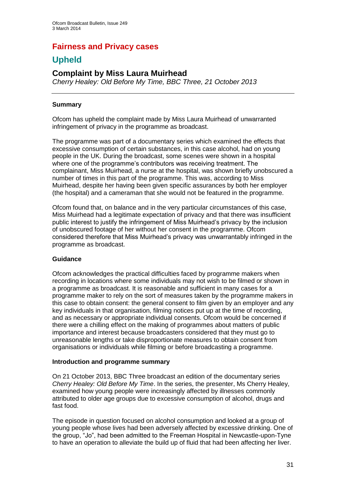## **Fairness and Privacy cases**

# **Upheld**

## **Complaint by Miss Laura Muirhead**

*Cherry Healey: Old Before My Time, BBC Three, 21 October 2013*

#### **Summary**

Ofcom has upheld the complaint made by Miss Laura Muirhead of unwarranted infringement of privacy in the programme as broadcast.

The programme was part of a documentary series which examined the effects that excessive consumption of certain substances, in this case alcohol, had on young people in the UK. During the broadcast, some scenes were shown in a hospital where one of the programme's contributors was receiving treatment. The complainant, Miss Muirhead, a nurse at the hospital, was shown briefly unobscured a number of times in this part of the programme. This was, according to Miss Muirhead, despite her having been given specific assurances by both her employer (the hospital) and a cameraman that she would not be featured in the programme.

Ofcom found that, on balance and in the very particular circumstances of this case, Miss Muirhead had a legitimate expectation of privacy and that there was insufficient public interest to justify the infringement of Miss Muirhead's privacy by the inclusion of unobscured footage of her without her consent in the programme. Ofcom considered therefore that Miss Muirhead's privacy was unwarrantably infringed in the programme as broadcast.

#### **Guidance**

Ofcom acknowledges the practical difficulties faced by programme makers when recording in locations where some individuals may not wish to be filmed or shown in a programme as broadcast. It is reasonable and sufficient in many cases for a programme maker to rely on the sort of measures taken by the programme makers in this case to obtain consent: the general consent to film given by an employer and any key individuals in that organisation, filming notices put up at the time of recording, and as necessary or appropriate individual consents. Ofcom would be concerned if there were a chilling effect on the making of programmes about matters of public importance and interest because broadcasters considered that they must go to unreasonable lengths or take disproportionate measures to obtain consent from organisations or individuals while filming or before broadcasting a programme.

#### **Introduction and programme summary**

On 21 October 2013, BBC Three broadcast an edition of the documentary series *Cherry Healey: Old Before My Time*. In the series, the presenter, Ms Cherry Healey, examined how young people were increasingly affected by illnesses commonly attributed to older age groups due to excessive consumption of alcohol, drugs and fast food.

The episode in question focused on alcohol consumption and looked at a group of young people whose lives had been adversely affected by excessive drinking. One of the group, "Jo", had been admitted to the Freeman Hospital in Newcastle-upon-Tyne to have an operation to alleviate the build up of fluid that had been affecting her liver.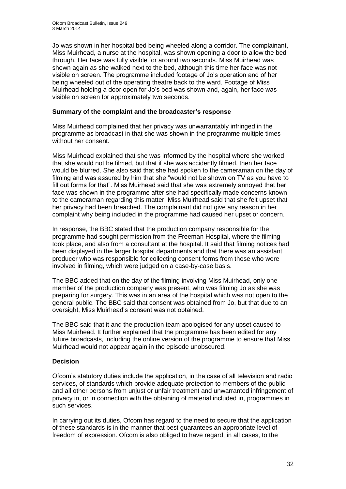Jo was shown in her hospital bed being wheeled along a corridor. The complainant, Miss Muirhead, a nurse at the hospital, was shown opening a door to allow the bed through. Her face was fully visible for around two seconds. Miss Muirhead was shown again as she walked next to the bed, although this time her face was not visible on screen. The programme included footage of Jo's operation and of her being wheeled out of the operating theatre back to the ward. Footage of Miss Muirhead holding a door open for Jo's bed was shown and, again, her face was visible on screen for approximately two seconds.

#### **Summary of the complaint and the broadcaster's response**

Miss Muirhead complained that her privacy was unwarrantably infringed in the programme as broadcast in that she was shown in the programme multiple times without her consent.

Miss Muirhead explained that she was informed by the hospital where she worked that she would not be filmed, but that if she was accidently filmed, then her face would be blurred. She also said that she had spoken to the cameraman on the day of filming and was assured by him that she "would not be shown on TV as you have to fill out forms for that". Miss Muirhead said that she was extremely annoyed that her face was shown in the programme after she had specifically made concerns known to the cameraman regarding this matter. Miss Muirhead said that she felt upset that her privacy had been breached. The complainant did not give any reason in her complaint why being included in the programme had caused her upset or concern.

In response, the BBC stated that the production company responsible for the programme had sought permission from the Freeman Hospital, where the filming took place, and also from a consultant at the hospital. It said that filming notices had been displayed in the larger hospital departments and that there was an assistant producer who was responsible for collecting consent forms from those who were involved in filming, which were judged on a case-by-case basis.

The BBC added that on the day of the filming involving Miss Muirhead, only one member of the production company was present, who was filming Jo as she was preparing for surgery. This was in an area of the hospital which was not open to the general public. The BBC said that consent was obtained from Jo, but that due to an oversight, Miss Muirhead's consent was not obtained.

The BBC said that it and the production team apologised for any upset caused to Miss Muirhead. It further explained that the programme has been edited for any future broadcasts, including the online version of the programme to ensure that Miss Muirhead would not appear again in the episode unobscured.

#### **Decision**

Ofcom's statutory duties include the application, in the case of all television and radio services, of standards which provide adequate protection to members of the public and all other persons from unjust or unfair treatment and unwarranted infringement of privacy in, or in connection with the obtaining of material included in, programmes in such services.

In carrying out its duties, Ofcom has regard to the need to secure that the application of these standards is in the manner that best guarantees an appropriate level of freedom of expression. Ofcom is also obliged to have regard, in all cases, to the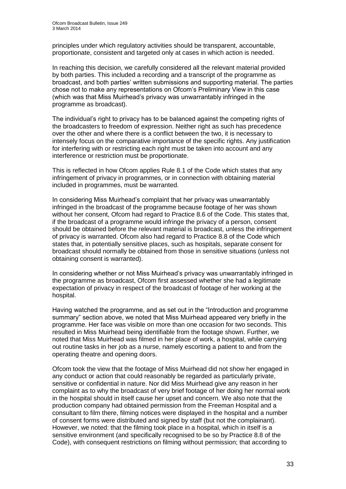principles under which regulatory activities should be transparent, accountable, proportionate, consistent and targeted only at cases in which action is needed.

In reaching this decision, we carefully considered all the relevant material provided by both parties. This included a recording and a transcript of the programme as broadcast, and both parties' written submissions and supporting material. The parties chose not to make any representations on Ofcom's Preliminary View in this case (which was that Miss Muirhead's privacy was unwarrantably infringed in the programme as broadcast).

The individual's right to privacy has to be balanced against the competing rights of the broadcasters to freedom of expression. Neither right as such has precedence over the other and where there is a conflict between the two, it is necessary to intensely focus on the comparative importance of the specific rights. Any justification for interfering with or restricting each right must be taken into account and any interference or restriction must be proportionate.

This is reflected in how Ofcom applies Rule 8.1 of the Code which states that any infringement of privacy in programmes, or in connection with obtaining material included in programmes, must be warranted.

In considering Miss Muirhead's complaint that her privacy was unwarrantably infringed in the broadcast of the programme because footage of her was shown without her consent, Ofcom had regard to Practice 8.6 of the Code. This states that, if the broadcast of a programme would infringe the privacy of a person, consent should be obtained before the relevant material is broadcast, unless the infringement of privacy is warranted. Ofcom also had regard to Practice 8.8 of the Code which states that, in potentially sensitive places, such as hospitals, separate consent for broadcast should normally be obtained from those in sensitive situations (unless not obtaining consent is warranted).

In considering whether or not Miss Muirhead's privacy was unwarrantably infringed in the programme as broadcast, Ofcom first assessed whether she had a legitimate expectation of privacy in respect of the broadcast of footage of her working at the hospital.

Having watched the programme, and as set out in the "Introduction and programme summary" section above, we noted that Miss Muirhead appeared very briefly in the programme. Her face was visible on more than one occasion for two seconds. This resulted in Miss Muirhead being identifiable from the footage shown. Further, we noted that Miss Muirhead was filmed in her place of work, a hospital, while carrying out routine tasks in her job as a nurse, namely escorting a patient to and from the operating theatre and opening doors.

Ofcom took the view that the footage of Miss Muirhead did not show her engaged in any conduct or action that could reasonably be regarded as particularly private, sensitive or confidential in nature. Nor did Miss Muirhead give any reason in her complaint as to why the broadcast of very brief footage of her doing her normal work in the hospital should in itself cause her upset and concern. We also note that the production company had obtained permission from the Freeman Hospital and a consultant to film there, filming notices were displayed in the hospital and a number of consent forms were distributed and signed by staff (but not the complainant). However, we noted: that the filming took place in a hospital, which in itself is a sensitive environment (and specifically recognised to be so by Practice 8.8 of the Code), with consequent restrictions on filming without permission; that according to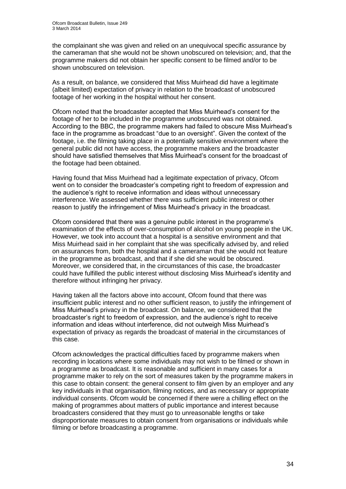the complainant she was given and relied on an unequivocal specific assurance by the cameraman that she would not be shown unobscured on television; and, that the programme makers did not obtain her specific consent to be filmed and/or to be shown unobscured on television.

As a result, on balance, we considered that Miss Muirhead did have a legitimate (albeit limited) expectation of privacy in relation to the broadcast of unobscured footage of her working in the hospital without her consent.

Ofcom noted that the broadcaster accepted that Miss Muirhead's consent for the footage of her to be included in the programme unobscured was not obtained. According to the BBC, the programme makers had failed to obscure Miss Muirhead's face in the programme as broadcast "due to an oversight". Given the context of the footage, i.e. the filming taking place in a potentially sensitive environment where the general public did not have access, the programme makers and the broadcaster should have satisfied themselves that Miss Muirhead's consent for the broadcast of the footage had been obtained.

Having found that Miss Muirhead had a legitimate expectation of privacy, Ofcom went on to consider the broadcaster's competing right to freedom of expression and the audience's right to receive information and ideas without unnecessary interference. We assessed whether there was sufficient public interest or other reason to justify the infringement of Miss Muirhead's privacy in the broadcast.

Ofcom considered that there was a genuine public interest in the programme's examination of the effects of over-consumption of alcohol on young people in the UK. However, we took into account that a hospital is a sensitive environment and that Miss Muirhead said in her complaint that she was specifically advised by, and relied on assurances from, both the hospital and a cameraman that she would not feature in the programme as broadcast, and that if she did she would be obscured. Moreover, we considered that, in the circumstances of this case, the broadcaster could have fulfilled the public interest without disclosing Miss Muirhead's identity and therefore without infringing her privacy.

Having taken all the factors above into account, Ofcom found that there was insufficient public interest and no other sufficient reason, to justify the infringement of Miss Muirhead's privacy in the broadcast. On balance, we considered that the broadcaster's right to freedom of expression, and the audience's right to receive information and ideas without interference, did not outweigh Miss Muirhead's expectation of privacy as regards the broadcast of material in the circumstances of this case.

Ofcom acknowledges the practical difficulties faced by programme makers when recording in locations where some individuals may not wish to be filmed or shown in a programme as broadcast. It is reasonable and sufficient in many cases for a programme maker to rely on the sort of measures taken by the programme makers in this case to obtain consent: the general consent to film given by an employer and any key individuals in that organisation, filming notices, and as necessary or appropriate individual consents. Ofcom would be concerned if there were a chilling effect on the making of programmes about matters of public importance and interest because broadcasters considered that they must go to unreasonable lengths or take disproportionate measures to obtain consent from organisations or individuals while filming or before broadcasting a programme.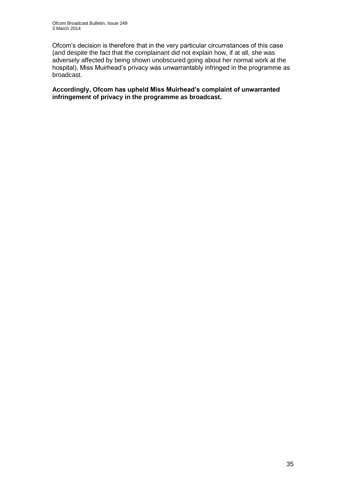Ofcom's decision is therefore that in the very particular circumstances of this case (and despite the fact that the complainant did not explain how, if at all, she was adversely affected by being shown unobscured going about her normal work at the hospital), Miss Muirhead's privacy was unwarrantably infringed in the programme as broadcast.

**Accordingly, Ofcom has upheld Miss Muirhead's complaint of unwarranted infringement of privacy in the programme as broadcast.**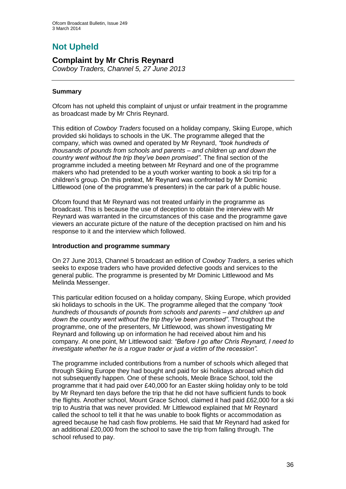# **Not Upheld**

## **Complaint by Mr Chris Reynard**

*Cowboy Traders, Channel 5, 27 June 2013*

#### **Summary**

Ofcom has not upheld this complaint of unjust or unfair treatment in the programme as broadcast made by Mr Chris Reynard.

This edition of *Cowboy Traders* focused on a holiday company, Skiing Europe, which provided ski holidays to schools in the UK. The programme alleged that the company, which was owned and operated by Mr Reynard, *"took hundreds of thousands of pounds from schools and parents – and children up and down the country went without the trip they've been promised"*. The final section of the programme included a meeting between Mr Reynard and one of the programme makers who had pretended to be a youth worker wanting to book a ski trip for a children's group. On this pretext, Mr Reynard was confronted by Mr Dominic Littlewood (one of the programme's presenters) in the car park of a public house.

Ofcom found that Mr Reynard was not treated unfairly in the programme as broadcast. This is because the use of deception to obtain the interview with Mr Reynard was warranted in the circumstances of this case and the programme gave viewers an accurate picture of the nature of the deception practised on him and his response to it and the interview which followed.

#### **Introduction and programme summary**

On 27 June 2013, Channel 5 broadcast an edition of *Cowboy Traders*, a series which seeks to expose traders who have provided defective goods and services to the general public. The programme is presented by Mr Dominic Littlewood and Ms Melinda Messenger.

This particular edition focused on a holiday company, Skiing Europe, which provided ski holidays to schools in the UK. The programme alleged that the company *"took hundreds of thousands of pounds from schools and parents – and children up and down the country went without the trip they've been promised"*. Throughout the programme, one of the presenters, Mr Littlewood, was shown investigating Mr Reynard and following up on information he had received about him and his company. At one point, Mr Littlewood said: *"Before I go after Chris Reynard, I need to investigate whether he is a rogue trader or just a victim of the recession".* 

The programme included contributions from a number of schools which alleged that through Skiing Europe they had bought and paid for ski holidays abroad which did not subsequently happen. One of these schools, Meole Brace School, told the programme that it had paid over £40,000 for an Easter skiing holiday only to be told by Mr Reynard ten days before the trip that he did not have sufficient funds to book the flights. Another school, Mount Grace School, claimed it had paid £62,000 for a ski trip to Austria that was never provided. Mr Littlewood explained that Mr Reynard called the school to tell it that he was unable to book flights or accommodation as agreed because he had cash flow problems. He said that Mr Reynard had asked for an additional £20,000 from the school to save the trip from falling through. The school refused to pay.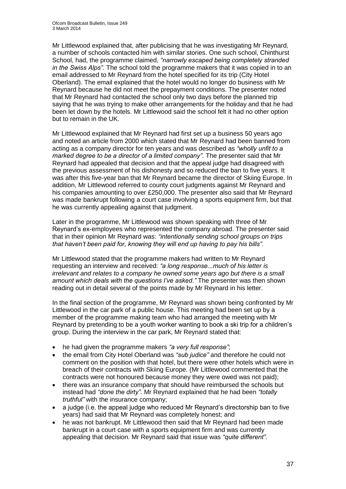Mr Littlewood explained that, after publicising that he was investigating Mr Reynard, a number of schools contacted him with similar stories. One such school, Chinthurst School, had, the programme claimed, *"narrowly escaped being completely stranded in the Swiss Alps".* The school told the programme makers that it was copied in to an email addressed to Mr Reynard from the hotel specified for its trip (City Hotel Oberland). The email explained that the hotel would no longer do business with Mr Reynard because he did not meet the prepayment conditions. The presenter noted that Mr Reynard had contacted the school only two days before the planned trip saying that he was trying to make other arrangements for the holiday and that he had been let down by the hotels. Mr Littlewood said the school felt it had no other option but to remain in the UK.

Mr Littlewood explained that Mr Reynard had first set up a business 50 years ago and noted an article from 2000 which stated that Mr Reynard had been banned from acting as a company director for ten years and was described as *"wholly unfit to a marked degree to be a director of a limited company"*. The presenter said that Mr Reynard had appealed that decision and that the appeal judge had disagreed with the previous assessment of his dishonesty and so reduced the ban to five years. It was after this five-year ban that Mr Reynard became the director of Skiing Europe. In addition, Mr Littlewood referred to county court judgments against Mr Reynard and his companies amounting to over £250,000. The presenter also said that Mr Reynard was made bankrupt following a court case involving a sports equipment firm, but that he was currently appealing against that judgment.

Later in the programme, Mr Littlewood was shown speaking with three of Mr Reynard's ex-employees who represented the company abroad. The presenter said that in their opinion Mr Reynard was: *"intentionally sending school groups on trips that haven't been paid for, knowing they will end up having to pay his bills"*.

Mr Littlewood stated that the programme makers had written to Mr Reynard requesting an interview and received: *"a long response...much of his letter is irrelevant and relates to a company he owned some years ago but there is a small amount which deals with the questions I've asked."* The presenter was then shown reading out in detail several of the points made by Mr Reynard in his letter.

In the final section of the programme, Mr Reynard was shown being confronted by Mr Littlewood in the car park of a public house. This meeting had been set up by a member of the programme making team who had arranged the meeting with Mr Reynard by pretending to be a youth worker wanting to book a ski trip for a children's group. During the interview in the car park, Mr Reynard stated that:

- he had given the programme makers *"a very full response"*;
- the email from City Hotel Oberland was *"sub judice"* and therefore he could not comment on the position with that hotel, but there were other hotels which were in breach of their contracts with Skiing Europe. (Mr Littlewood commented that the contracts were not honoured because money they were owed was not paid);
- there was an insurance company that should have reimbursed the schools but instead had *"done the dirty"*. Mr Reynard explained that he had been *"totally truthful"* with the insurance company;
- a judge (i.e. the appeal judge who reduced Mr Reynard's directorship ban to five years) had said that Mr Reynard was completely honest; and
- he was not bankrupt. Mr Littlewood then said that Mr Reynard had been made bankrupt in a court case with a sports equipment firm and was currently appealing that decision. Mr Reynard said that issue was *"quite different"*.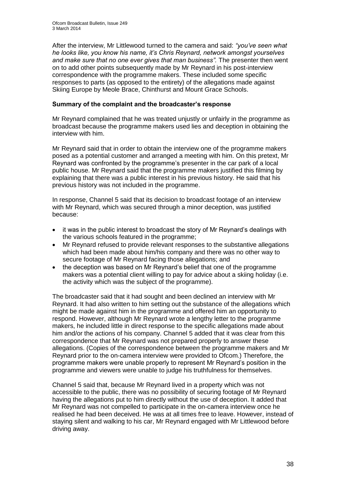After the interview, Mr Littlewood turned to the camera and said: *"you've seen what he looks like, you know his name, it's Chris Reynard, network amongst yourselves and make sure that no one ever gives that man business".* The presenter then went on to add other points subsequently made by Mr Reynard in his post-interview correspondence with the programme makers. These included some specific responses to parts (as opposed to the entirety) of the allegations made against Skiing Europe by Meole Brace, Chinthurst and Mount Grace Schools.

#### **Summary of the complaint and the broadcaster's response**

Mr Reynard complained that he was treated unjustly or unfairly in the programme as broadcast because the programme makers used lies and deception in obtaining the interview with him.

Mr Reynard said that in order to obtain the interview one of the programme makers posed as a potential customer and arranged a meeting with him. On this pretext, Mr Reynard was confronted by the programme's presenter in the car park of a local public house. Mr Reynard said that the programme makers justified this filming by explaining that there was a public interest in his previous history. He said that his previous history was not included in the programme.

In response, Channel 5 said that its decision to broadcast footage of an interview with Mr Reynard, which was secured through a minor deception, was justified because:

- it was in the public interest to broadcast the story of Mr Reynard's dealings with the various schools featured in the programme;
- Mr Reynard refused to provide relevant responses to the substantive allegations which had been made about him/his company and there was no other way to secure footage of Mr Reynard facing those allegations; and
- the deception was based on Mr Reynard's belief that one of the programme makers was a potential client willing to pay for advice about a skiing holiday (i.e. the activity which was the subject of the programme).

The broadcaster said that it had sought and been declined an interview with Mr Reynard. It had also written to him setting out the substance of the allegations which might be made against him in the programme and offered him an opportunity to respond. However, although Mr Reynard wrote a lengthy letter to the programme makers, he included little in direct response to the specific allegations made about him and/or the actions of his company. Channel 5 added that it was clear from this correspondence that Mr Reynard was not prepared properly to answer these allegations. (Copies of the correspondence between the programme makers and Mr Reynard prior to the on-camera interview were provided to Ofcom.) Therefore, the programme makers were unable properly to represent Mr Reynard's position in the programme and viewers were unable to judge his truthfulness for themselves.

Channel 5 said that, because Mr Reynard lived in a property which was not accessible to the public, there was no possibility of securing footage of Mr Reynard having the allegations put to him directly without the use of deception. It added that Mr Reynard was not compelled to participate in the on-camera interview once he realised he had been deceived. He was at all times free to leave. However, instead of staying silent and walking to his car, Mr Reynard engaged with Mr Littlewood before driving away.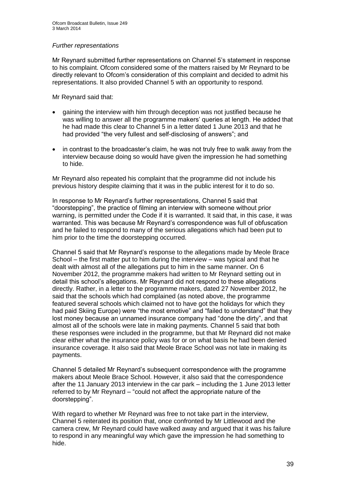#### *Further representations*

Mr Reynard submitted further representations on Channel 5's statement in response to his complaint. Ofcom considered some of the matters raised by Mr Reynard to be directly relevant to Ofcom's consideration of this complaint and decided to admit his representations. It also provided Channel 5 with an opportunity to respond.

Mr Reynard said that:

- gaining the interview with him through deception was not justified because he was willing to answer all the programme makers' queries at length. He added that he had made this clear to Channel 5 in a letter dated 1 June 2013 and that he had provided "the very fullest and self-disclosing of answers"; and
- in contrast to the broadcaster's claim, he was not truly free to walk away from the interview because doing so would have given the impression he had something to hide.

Mr Reynard also repeated his complaint that the programme did not include his previous history despite claiming that it was in the public interest for it to do so.

In response to Mr Reynard's further representations, Channel 5 said that "doorstepping", the practice of filming an interview with someone without prior warning, is permitted under the Code if it is warranted. It said that, in this case, it was warranted. This was because Mr Reynard's correspondence was full of obfuscation and he failed to respond to many of the serious allegations which had been put to him prior to the time the doorstepping occurred.

Channel 5 said that Mr Reynard's response to the allegations made by Meole Brace School – the first matter put to him during the interview – was typical and that he dealt with almost all of the allegations put to him in the same manner. On 6 November 2012, the programme makers had written to Mr Reynard setting out in detail this school's allegations. Mr Reynard did not respond to these allegations directly. Rather, in a letter to the programme makers, dated 27 November 2012, he said that the schools which had complained (as noted above, the programme featured several schools which claimed not to have got the holidays for which they had paid Skiing Europe) were "the most emotive" and "failed to understand" that they lost money because an unnamed insurance company had "done the dirty", and that almost all of the schools were late in making payments. Channel 5 said that both these responses were included in the programme, but that Mr Reynard did not make clear either what the insurance policy was for or on what basis he had been denied insurance coverage. It also said that Meole Brace School was not late in making its payments.

Channel 5 detailed Mr Reynard's subsequent correspondence with the programme makers about Meole Brace School. However, it also said that the correspondence after the 11 January 2013 interview in the car park – including the 1 June 2013 letter referred to by Mr Reynard – "could not affect the appropriate nature of the doorstepping".

With regard to whether Mr Reynard was free to not take part in the interview. Channel 5 reiterated its position that, once confronted by Mr Littlewood and the camera crew, Mr Reynard could have walked away and argued that it was his failure to respond in any meaningful way which gave the impression he had something to hide.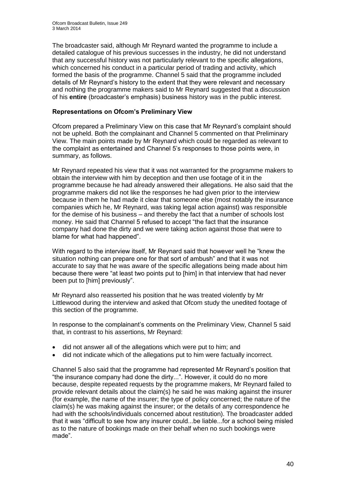The broadcaster said, although Mr Reynard wanted the programme to include a detailed catalogue of his previous successes in the industry, he did not understand that any successful history was not particularly relevant to the specific allegations, which concerned his conduct in a particular period of trading and activity, which formed the basis of the programme. Channel 5 said that the programme included details of Mr Reynard's history to the extent that they were relevant and necessary and nothing the programme makers said to Mr Reynard suggested that a discussion of his **entire** (broadcaster's emphasis) business history was in the public interest.

#### **Representations on Ofcom's Preliminary View**

Ofcom prepared a Preliminary View on this case that Mr Reynard's complaint should not be upheld. Both the complainant and Channel 5 commented on that Preliminary View. The main points made by Mr Reynard which could be regarded as relevant to the complaint as entertained and Channel 5's responses to those points were, in summary, as follows.

Mr Reynard repeated his view that it was not warranted for the programme makers to obtain the interview with him by deception and then use footage of it in the programme because he had already answered their allegations. He also said that the programme makers did not like the responses he had given prior to the interview because in them he had made it clear that someone else (most notably the insurance companies which he, Mr Reynard, was taking legal action against) was responsible for the demise of his business – and thereby the fact that a number of schools lost money. He said that Channel 5 refused to accept "the fact that the insurance company had done the dirty and we were taking action against those that were to blame for what had happened".

With regard to the interview itself, Mr Reynard said that however well he "knew the situation nothing can prepare one for that sort of ambush" and that it was not accurate to say that he was aware of the specific allegations being made about him because there were "at least two points put to [him] in that interview that had never been put to [him] previously".

Mr Reynard also reasserted his position that he was treated violently by Mr Littlewood during the interview and asked that Ofcom study the unedited footage of this section of the programme.

In response to the complainant's comments on the Preliminary View, Channel 5 said that, in contrast to his assertions, Mr Reynard:

- did not answer all of the allegations which were put to him; and
- did not indicate which of the allegations put to him were factually incorrect.

Channel 5 also said that the programme had represented Mr Reynard's position that "the insurance company had done the dirty...". However, it could do no more because, despite repeated requests by the programme makers, Mr Reynard failed to provide relevant details about the claim(s) he said he was making against the insurer (for example, the name of the insurer; the type of policy concerned; the nature of the claim(s) he was making against the insurer; or the details of any correspondence he had with the schools/individuals concerned about restitution). The broadcaster added that it was "difficult to see how any insurer could...be liable...for a school being misled as to the nature of bookings made on their behalf when no such bookings were made".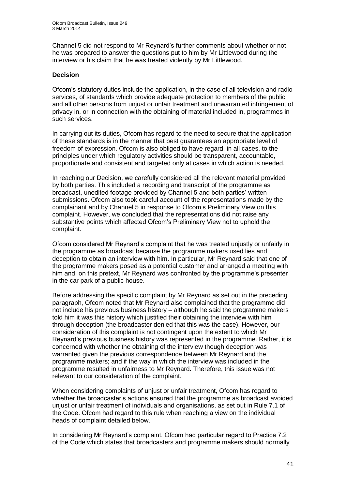Channel 5 did not respond to Mr Reynard's further comments about whether or not he was prepared to answer the questions put to him by Mr Littlewood during the interview or his claim that he was treated violently by Mr Littlewood.

#### **Decision**

Ofcom's statutory duties include the application, in the case of all television and radio services, of standards which provide adequate protection to members of the public and all other persons from unjust or unfair treatment and unwarranted infringement of privacy in, or in connection with the obtaining of material included in, programmes in such services.

In carrying out its duties, Ofcom has regard to the need to secure that the application of these standards is in the manner that best guarantees an appropriate level of freedom of expression. Ofcom is also obliged to have regard, in all cases, to the principles under which regulatory activities should be transparent, accountable, proportionate and consistent and targeted only at cases in which action is needed.

In reaching our Decision, we carefully considered all the relevant material provided by both parties. This included a recording and transcript of the programme as broadcast, unedited footage provided by Channel 5 and both parties' written submissions. Ofcom also took careful account of the representations made by the complainant and by Channel 5 in response to Ofcom's Preliminary View on this complaint. However, we concluded that the representations did not raise any substantive points which affected Ofcom's Preliminary View not to uphold the complaint.

Ofcom considered Mr Reynard's complaint that he was treated unjustly or unfairly in the programme as broadcast because the programme makers used lies and deception to obtain an interview with him. In particular, Mr Reynard said that one of the programme makers posed as a potential customer and arranged a meeting with him and, on this pretext, Mr Reynard was confronted by the programme's presenter in the car park of a public house.

Before addressing the specific complaint by Mr Reynard as set out in the preceding paragraph, Ofcom noted that Mr Reynard also complained that the programme did not include his previous business history – although he said the programme makers told him it was this history which justified their obtaining the interview with him through deception (the broadcaster denied that this was the case). However, our consideration of this complaint is not contingent upon the extent to which Mr Reynard's previous business history was represented in the programme. Rather, it is concerned with whether the obtaining of the interview though deception was warranted given the previous correspondence between Mr Reynard and the programme makers; and if the way in which the interview was included in the programme resulted in unfairness to Mr Reynard. Therefore, this issue was not relevant to our consideration of the complaint.

When considering complaints of unjust or unfair treatment, Ofcom has regard to whether the broadcaster's actions ensured that the programme as broadcast avoided unjust or unfair treatment of individuals and organisations, as set out in Rule 7.1 of the Code. Ofcom had regard to this rule when reaching a view on the individual heads of complaint detailed below.

In considering Mr Reynard's complaint, Ofcom had particular regard to Practice 7.2 of the Code which states that broadcasters and programme makers should normally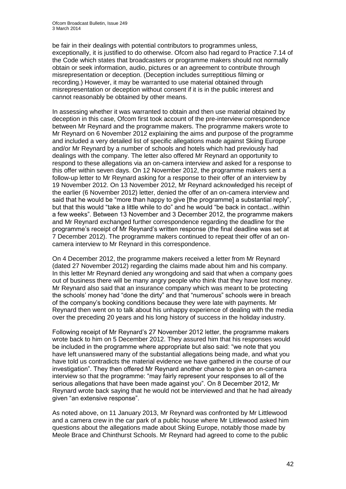be fair in their dealings with potential contributors to programmes unless, exceptionally, it is justified to do otherwise. Ofcom also had regard to Practice 7.14 of the Code which states that broadcasters or programme makers should not normally obtain or seek information, audio, pictures or an agreement to contribute through misrepresentation or deception. (Deception includes surreptitious filming or recording.) However, it may be warranted to use material obtained through misrepresentation or deception without consent if it is in the public interest and cannot reasonably be obtained by other means.

In assessing whether it was warranted to obtain and then use material obtained by deception in this case, Ofcom first took account of the pre-interview correspondence between Mr Reynard and the programme makers. The programme makers wrote to Mr Reynard on 6 November 2012 explaining the aims and purpose of the programme and included a very detailed list of specific allegations made against Skiing Europe and/or Mr Reynard by a number of schools and hotels which had previously had dealings with the company. The letter also offered Mr Reynard an opportunity to respond to these allegations via an on-camera interview and asked for a response to this offer within seven days. On 12 November 2012, the programme makers sent a follow-up letter to Mr Reynard asking for a response to their offer of an interview by 19 November 2012. On 13 November 2012, Mr Reynard acknowledged his receipt of the earlier (6 November 2012) letter, denied the offer of an on-camera interview and said that he would be "more than happy to give [the programme] a substantial reply", but that this would "take a little while to do" and he would "be back in contact...within a few weeks". Between 13 November and 3 December 2012, the programme makers and Mr Reynard exchanged further correspondence regarding the deadline for the programme's receipt of Mr Reynard's written response (the final deadline was set at 7 December 2012). The programme makers continued to repeat their offer of an oncamera interview to Mr Reynard in this correspondence.

On 4 December 2012, the programme makers received a letter from Mr Reynard (dated 27 November 2012) regarding the claims made about him and his company. In this letter Mr Reynard denied any wrongdoing and said that when a company goes out of business there will be many angry people who think that they have lost money. Mr Reynard also said that an insurance company which was meant to be protecting the schools' money had "done the dirty" and that "numerous" schools were in breach of the company's booking conditions because they were late with payments. Mr Reynard then went on to talk about his unhappy experience of dealing with the media over the preceding 20 years and his long history of success in the holiday industry.

Following receipt of Mr Reynard's 27 November 2012 letter, the programme makers wrote back to him on 5 December 2012. They assured him that his responses would be included in the programme where appropriate but also said: "we note that you have left unanswered many of the substantial allegations being made, and what you have told us contradicts the material evidence we have gathered in the course of our investigation". They then offered Mr Reynard another chance to give an on-camera interview so that the programme: "may fairly represent your responses to all of the serious allegations that have been made against you". On 8 December 2012, Mr Reynard wrote back saying that he would not be interviewed and that he had already given "an extensive response".

As noted above, on 11 January 2013, Mr Reynard was confronted by Mr Littlewood and a camera crew in the car park of a public house where Mr Littlewood asked him questions about the allegations made about Skiing Europe, notably those made by Meole Brace and Chinthurst Schools. Mr Reynard had agreed to come to the public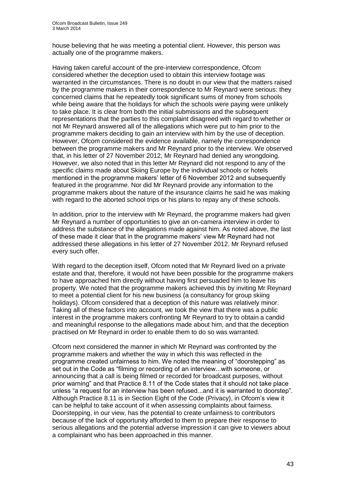house believing that he was meeting a potential client. However, this person was actually one of the programme makers.

Having taken careful account of the pre-interview correspondence, Ofcom considered whether the deception used to obtain this interview footage was warranted in the circumstances. There is no doubt in our view that the matters raised by the programme makers in their correspondence to Mr Reynard were serious: they concerned claims that he repeatedly took significant sums of money from schools while being aware that the holidays for which the schools were paying were unlikely to take place. It is clear from both the initial submissions and the subsequent representations that the parties to this complaint disagreed with regard to whether or not Mr Reynard answered all of the allegations which were put to him prior to the programme makers deciding to gain an interview with him by the use of deception. However, Ofcom considered the evidence available, namely the correspondence between the programme makers and Mr Reynard prior to the interview. We observed that, in his letter of 27 November 2012, Mr Reynard had denied any wrongdoing. However, we also noted that in this letter Mr Reynard did not respond to any of the specific claims made about Skiing Europe by the individual schools or hotels mentioned in the programme makers' letter of 6 November 2012 and subsequently featured in the programme. Nor did Mr Reynard provide any information to the programme makers about the nature of the insurance claims he said he was making with regard to the aborted school trips or his plans to repay any of these schools.

In addition, prior to the interview with Mr Reynard, the programme makers had given Mr Reynard a number of opportunities to give an on-camera interview in order to address the substance of the allegations made against him. As noted above, the last of these made it clear that in the programme makers' view Mr Reynard had not addressed these allegations in his letter of 27 November 2012. Mr Reynard refused every such offer.

With regard to the deception itself, Ofcom noted that Mr Reynard lived on a private estate and that, therefore, it would not have been possible for the programme makers to have approached him directly without having first persuaded him to leave his property. We noted that the programme makers achieved this by inviting Mr Reynard to meet a potential client for his new business (a consultancy for group skiing holidays). Ofcom considered that a deception of this nature was relatively minor. Taking all of these factors into account, we took the view that there was a public interest in the programme makers confronting Mr Reynard to try to obtain a candid and meaningful response to the allegations made about him, and that the deception practised on Mr Reynard in order to enable them to do so was warranted.

Ofcom next considered the manner in which Mr Reynard was confronted by the programme makers and whether the way in which this was reflected in the programme created unfairness to him. We noted the meaning of "doorstepping" as set out in the Code as "filming or recording of an interview...with someone, or announcing that a call is being filmed or recorded for broadcast purposes, without prior warning" and that Practice 8.11 of the Code states that it should not take place unless "a request for an interview has been refused...and it is warranted to doorstep". Although Practice 8.11 is in Section Eight of the Code (Privacy), in Ofcom's view it can be helpful to take account of it when assessing complaints about fairness. Doorstepping, in our view, has the potential to create unfairness to contributors because of the lack of opportunity afforded to them to prepare their response to serious allegations and the potential adverse impression it can give to viewers about a complainant who has been approached in this manner.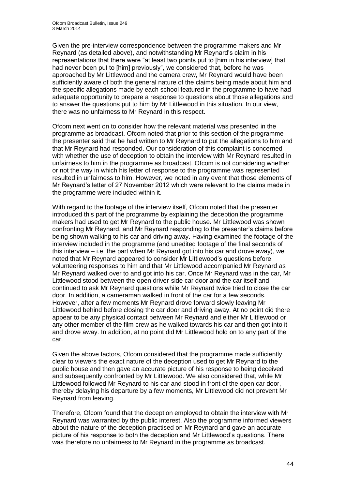Given the pre-interview correspondence between the programme makers and Mr Reynard (as detailed above), and notwithstanding Mr Reynard's claim in his representations that there were "at least two points put to [him in his interview] that had never been put to [him] previously", we considered that, before he was approached by Mr Littlewood and the camera crew, Mr Reynard would have been sufficiently aware of both the general nature of the claims being made about him and the specific allegations made by each school featured in the programme to have had adequate opportunity to prepare a response to questions about those allegations and to answer the questions put to him by Mr Littlewood in this situation. In our view, there was no unfairness to Mr Reynard in this respect.

Ofcom next went on to consider how the relevant material was presented in the programme as broadcast. Ofcom noted that prior to this section of the programme the presenter said that he had written to Mr Reynard to put the allegations to him and that Mr Reynard had responded. Our consideration of this complaint is concerned with whether the use of deception to obtain the interview with Mr Reynard resulted in unfairness to him in the programme as broadcast. Ofcom is not considering whether or not the way in which his letter of response to the programme was represented resulted in unfairness to him. However, we noted in any event that those elements of Mr Reynard's letter of 27 November 2012 which were relevant to the claims made in the programme were included within it.

With regard to the footage of the interview itself. Of com noted that the presenter introduced this part of the programme by explaining the deception the programme makers had used to get Mr Reynard to the public house. Mr Littlewood was shown confronting Mr Reynard, and Mr Reynard responding to the presenter's claims before being shown walking to his car and driving away. Having examined the footage of the interview included in the programme (and unedited footage of the final seconds of this interview – i.e. the part when Mr Reynard got into his car and drove away), we noted that Mr Reynard appeared to consider Mr Littlewood's questions before volunteering responses to him and that Mr Littlewood accompanied Mr Reynard as Mr Reynard walked over to and got into his car. Once Mr Reynard was in the car, Mr Littlewood stood between the open driver-side car door and the car itself and continued to ask Mr Reynard questions while Mr Reynard twice tried to close the car door. In addition, a cameraman walked in front of the car for a few seconds. However, after a few moments Mr Reynard drove forward slowly leaving Mr Littlewood behind before closing the car door and driving away. At no point did there appear to be any physical contact between Mr Reynard and either Mr Littlewood or any other member of the film crew as he walked towards his car and then got into it and drove away. In addition, at no point did Mr Littlewood hold on to any part of the car.

Given the above factors, Ofcom considered that the programme made sufficiently clear to viewers the exact nature of the deception used to get Mr Reynard to the public house and then gave an accurate picture of his response to being deceived and subsequently confronted by Mr Littlewood. We also considered that, while Mr Littlewood followed Mr Reynard to his car and stood in front of the open car door, thereby delaying his departure by a few moments, Mr Littlewood did not prevent Mr Reynard from leaving.

Therefore, Ofcom found that the deception employed to obtain the interview with Mr Reynard was warranted by the public interest. Also the programme informed viewers about the nature of the deception practised on Mr Reynard and gave an accurate picture of his response to both the deception and Mr Littlewood's questions. There was therefore no unfairness to Mr Reynard in the programme as broadcast.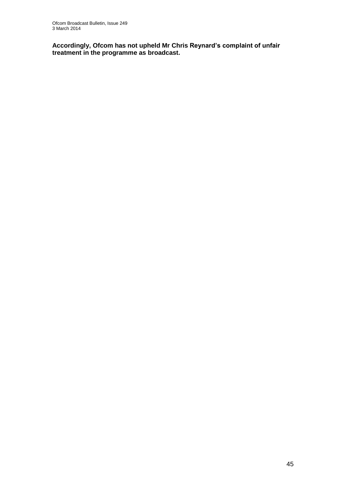**Accordingly, Ofcom has not upheld Mr Chris Reynard's complaint of unfair treatment in the programme as broadcast.**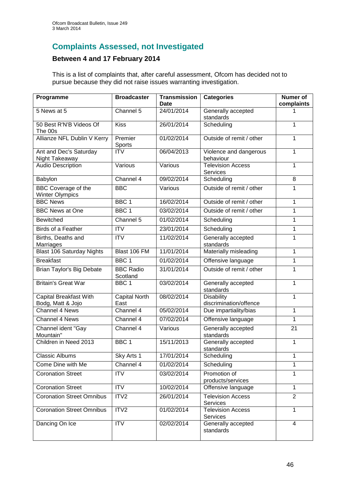# **Complaints Assessed, not Investigated**

## **Between 4 and 17 February 2014**

This is a list of complaints that, after careful assessment, Ofcom has decided not to pursue because they did not raise issues warranting investigation.

| Programme                                            | <b>Broadcaster</b>           | <b>Transmission</b><br>Date | <b>Categories</b>                           | <b>Numer of</b><br>complaints |
|------------------------------------------------------|------------------------------|-----------------------------|---------------------------------------------|-------------------------------|
| 5 News at 5                                          | Channel 5                    | 24/01/2014                  | Generally accepted<br>standards             |                               |
| 50 Best R'N'B Videos Of<br>The 00s                   | <b>Kiss</b>                  | 26/01/2014                  | Scheduling                                  | 1                             |
| Allianze NFL Dublin V Kerry                          | Premier<br>Sports            | 01/02/2014                  | Outside of remit / other                    | 1                             |
| Ant and Dec's Saturday<br>Night Takeaway             | <b>ITV</b>                   | 06/04/2013                  | Violence and dangerous<br>behaviour         | 1                             |
| <b>Audio Description</b>                             | Various                      | Various                     | <b>Television Access</b><br><b>Services</b> | 1                             |
| Babylon                                              | Channel 4                    | 09/02/2014                  | Scheduling                                  | 8                             |
| <b>BBC Coverage of the</b><br><b>Winter Olympics</b> | <b>BBC</b>                   | Various                     | Outside of remit / other                    | 1                             |
| <b>BBC News</b>                                      | BBC <sub>1</sub>             | 16/02/2014                  | Outside of remit / other                    | 1                             |
| <b>BBC News at One</b>                               | BBC <sub>1</sub>             | 03/02/2014                  | Outside of remit / other                    | 1                             |
| <b>Bewitched</b>                                     | Channel 5                    | 01/02/2014                  | Scheduling                                  | 1                             |
| <b>Birds of a Feather</b>                            | <b>ITV</b>                   | 23/01/2014                  | Scheduling                                  | 1                             |
| Births, Deaths and<br>Marriages                      | $\overline{ITV}$             | 11/02/2014                  | Generally accepted<br>standards             | 1                             |
| <b>Blast 106 Saturday Nights</b>                     | Blast 106 FM                 | 11/01/2014                  | Materially misleading                       | 1                             |
| <b>Breakfast</b>                                     | BBC <sub>1</sub>             | 01/02/2014                  | Offensive language                          | 1                             |
| Brian Taylor's Big Debate                            | <b>BBC Radio</b><br>Scotland | 31/01/2014                  | Outside of remit / other                    | 1                             |
| <b>Britain's Great War</b>                           | BBC <sub>1</sub>             | 03/02/2014                  | Generally accepted<br>standards             | 1                             |
| <b>Capital Breakfast With</b><br>Bodg, Matt & Jojo   | <b>Capital North</b><br>East | 08/02/2014                  | <b>Disability</b><br>discrimination/offence | 1                             |
| <b>Channel 4 News</b>                                | Channel 4                    | 05/02/2014                  | Due impartiality/bias                       | 1                             |
| <b>Channel 4 News</b>                                | Channel 4                    | 07/02/2014                  | Offensive language                          | 1                             |
| Channel ident "Gay<br>Mountain"                      | Channel 4                    | Various                     | Generally accepted<br>standards             | 21                            |
| Children in Need 2013                                | BBC <sub>1</sub>             | 15/11/2013                  | Generally accepted<br>standards             | 1                             |
| <b>Classic Albums</b>                                | Sky Arts 1                   | 17/01/2014                  | Scheduling                                  | 1                             |
| Come Dine with Me                                    | Channel 4                    | 01/02/2014                  | Scheduling                                  | 1                             |
| <b>Coronation Street</b>                             | <b>ITV</b>                   | 03/02/2014                  | Promotion of<br>products/services           | 1                             |
| <b>Coronation Street</b>                             | <b>ITV</b>                   | 10/02/2014                  | Offensive language                          | 1                             |
| <b>Coronation Street Omnibus</b>                     | ITV <sub>2</sub>             | 26/01/2014                  | <b>Television Access</b><br>Services        | $\overline{2}$                |
| <b>Coronation Street Omnibus</b>                     | ITV2                         | 01/02/2014                  | <b>Television Access</b><br>Services        | 1                             |
| Dancing On Ice                                       | <b>ITV</b>                   | 02/02/2014                  | Generally accepted<br>standards             | $\overline{4}$                |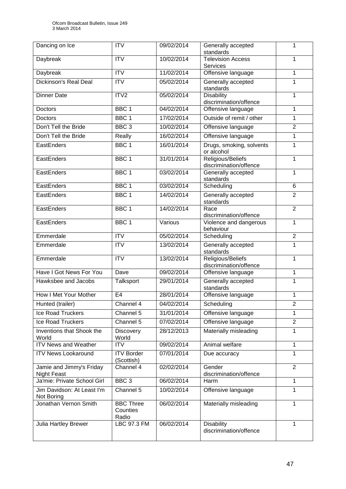| Dancing on Ice                                 | <b>ITV</b>                            | 09/02/2014 | Generally accepted<br>1<br>standards        |                |
|------------------------------------------------|---------------------------------------|------------|---------------------------------------------|----------------|
| Daybreak                                       | <b>ITV</b>                            | 10/02/2014 | <b>Television Access</b><br>1               |                |
|                                                |                                       |            | Services                                    |                |
| Daybreak                                       | <b>ITV</b>                            | 11/02/2014 | Offensive language                          | 1              |
| Dickinson's Real Deal                          | $\overline{ITV}$                      | 05/02/2014 | Generally accepted<br>standards             | 1              |
| <b>Dinner Date</b>                             | ITV2                                  | 05/02/2014 | <b>Disability</b><br>discrimination/offence | 1              |
| <b>Doctors</b>                                 | BBC <sub>1</sub>                      | 04/02/2014 | Offensive language                          | 1              |
| Doctors                                        | BBC <sub>1</sub>                      | 17/02/2014 | Outside of remit / other                    | 1              |
| Don't Tell the Bride                           | BBC <sub>3</sub>                      | 10/02/2014 | Offensive language                          | $\overline{2}$ |
| Don't Tell the Bride                           | Really                                | 16/02/2014 | Offensive language                          | 1              |
| EastEnders                                     | BBC <sub>1</sub>                      | 16/01/2014 | Drugs, smoking, solvents<br>or alcohol      | 1              |
| EastEnders                                     | BBC <sub>1</sub>                      | 31/01/2014 | Religious/Beliefs<br>discrimination/offence | 1              |
| EastEnders                                     | BBC <sub>1</sub>                      | 03/02/2014 | Generally accepted<br>standards             | 1              |
| EastEnders                                     | BBC <sub>1</sub>                      | 03/02/2014 | Scheduling                                  | 6              |
| EastEnders                                     | BBC <sub>1</sub>                      | 14/02/2014 | Generally accepted<br>standards             | $\overline{2}$ |
| EastEnders                                     | BBC <sub>1</sub>                      | 14/02/2014 | Race<br>discrimination/offence              | $\overline{2}$ |
| EastEnders                                     | BBC <sub>1</sub>                      | Various    | Violence and dangerous<br>behaviour         | $\overline{1}$ |
| Emmerdale                                      | <b>ITV</b>                            | 05/02/2014 | $\overline{2}$<br>Scheduling                |                |
| Emmerdale                                      | <b>ITV</b>                            | 13/02/2014 | Generally accepted<br>standards             | 1              |
| Emmerdale                                      | <b>ITV</b>                            | 13/02/2014 | Religious/Beliefs<br>discrimination/offence | 1              |
| Have I Got News For You                        | Dave                                  | 09/02/2014 | Offensive language                          | 1              |
| Hawksbee and Jacobs                            | Talksport                             | 29/01/2014 | Generally accepted<br>standards             | 1              |
| How I Met Your Mother                          | E <sub>4</sub>                        | 28/01/2014 | Offensive language                          | 1              |
| Hunted (trailer)                               | Channel 4                             | 04/02/2014 | Scheduling                                  | 2              |
| Ice Road Truckers                              | Channel 5                             | 31/01/2014 | Offensive language                          | 1              |
| Ice Road Truckers                              | Channel 5                             | 07/02/2014 | Offensive language                          | $\overline{2}$ |
| Inventions that Shook the<br>World             | <b>Discovery</b><br>World             | 28/12/2013 | Materially misleading                       | 1              |
| <b>ITV News and Weather</b>                    | $\overline{IV}$                       | 09/02/2014 | Animal welfare                              | 1              |
| <b>ITV News Lookaround</b>                     | <b>ITV Border</b><br>(Scottish)       | 07/01/2014 | Due accuracy                                | 1              |
| Jamie and Jimmy's Friday<br><b>Night Feast</b> | Channel 4                             | 02/02/2014 | Gender<br>discrimination/offence            | $\overline{2}$ |
| Ja'mie: Private School Girl                    | BBC <sub>3</sub>                      | 06/02/2014 | Harm                                        | 1              |
| Jim Davidson: At Least I'm<br>Not Boring       | Channel 5                             | 10/02/2014 | Offensive language                          | 1              |
| Jonathan Vernon Smith                          | <b>BBC Three</b><br>Counties<br>Radio | 06/02/2014 | Materially misleading<br>1                  |                |
| Julia Hartley Brewer                           | LBC 97.3 FM                           | 06/02/2014 | <b>Disability</b><br>discrimination/offence | 1              |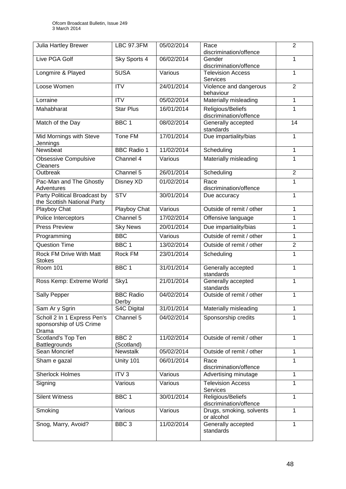| Julia Hartley Brewer                                               | <b>LBC 97.3FM</b>              | 05/02/2014 | $\overline{2}$<br>Race<br>discrimination/offence |                |  |
|--------------------------------------------------------------------|--------------------------------|------------|--------------------------------------------------|----------------|--|
| Live PGA Golf                                                      | Sky Sports 4                   | 06/02/2014 | Gender<br>1<br>discrimination/offence            |                |  |
| Longmire & Played                                                  | 5USA                           | Various    | <b>Television Access</b><br>1<br><b>Services</b> |                |  |
| Loose Women                                                        | <b>ITV</b>                     | 24/01/2014 | Violence and dangerous<br>behaviour              | $\overline{2}$ |  |
| Lorraine                                                           | <b>ITV</b>                     | 05/02/2014 | Materially misleading                            | 1              |  |
| Mahabharat                                                         | <b>Star Plus</b>               | 16/01/2014 | Religious/Beliefs<br>discrimination/offence      | 1              |  |
| Match of the Day                                                   | BBC <sub>1</sub>               | 08/02/2014 | Generally accepted<br>standards                  | 14             |  |
| Mid Mornings with Steve<br>Jennings                                | Tone FM                        | 17/01/2014 | Due impartiality/bias                            | 1              |  |
| Newsbeat                                                           | <b>BBC Radio 1</b>             | 11/02/2014 | Scheduling                                       | 1              |  |
| <b>Obsessive Compulsive</b><br>Cleaners                            | Channel 4                      | Various    | Materially misleading                            | 1              |  |
| Outbreak                                                           | Channel 5                      | 26/01/2014 | Scheduling                                       | $\overline{2}$ |  |
| Pac-Man and The Ghostly<br>Adventures                              | Disney XD                      | 01/02/2014 | Race<br>discrimination/offence                   | 1              |  |
| <b>Party Political Broadcast by</b><br>the Scottish National Party | STV                            | 30/01/2014 | Due accuracy                                     | 1              |  |
| Playboy Chat                                                       | Playboy Chat                   | Various    | Outside of remit / other                         | 1              |  |
| Police Interceptors                                                | Channel 5                      | 17/02/2014 | Offensive language<br>1                          |                |  |
| <b>Press Preview</b>                                               | <b>Sky News</b>                | 20/01/2014 | Due impartiality/bias                            | 1              |  |
| Programming                                                        | <b>BBC</b>                     | Various    | Outside of remit / other                         | 1              |  |
| <b>Question Time</b>                                               | BBC <sub>1</sub>               | 13/02/2014 | Outside of remit / other                         | $\overline{c}$ |  |
| Rock FM Drive With Matt<br><b>Stokes</b>                           | Rock FM                        | 23/01/2014 | Scheduling                                       | 1              |  |
| <b>Room 101</b>                                                    | BBC <sub>1</sub>               | 31/01/2014 | Generally accepted<br>standards                  | 1              |  |
| Ross Kemp: Extreme World                                           | Sky1                           | 21/01/2014 | Generally accepted<br>standards                  | 1              |  |
| Sally Pepper                                                       | <b>BBC Radio</b><br>Derby      | 04/02/2014 | Outside of remit / other                         | 1              |  |
| Sam Ar y Sgrin                                                     | S4C Digital                    | 31/01/2014 | Materially misleading                            | 1              |  |
| Scholl 2 In 1 Express Pen's<br>sponsorship of US Crime<br>Drama    | Channel 5                      | 04/02/2014 | Sponsorship credits                              | 1              |  |
| Scotland's Top Ten<br>Battlegrounds                                | BBC <sub>2</sub><br>(Scotland) | 11/02/2014 | Outside of remit / other                         | 1              |  |
| <b>Sean Moncrief</b>                                               | <b>Newstalk</b>                | 05/02/2014 | Outside of remit / other<br>1                    |                |  |
| Sham e gazal                                                       | Unity 101                      | 06/01/2014 | Race<br>discrimination/offence                   | 1              |  |
| <b>Sherlock Holmes</b>                                             | ITV <sub>3</sub>               | Various    | Advertising minutage                             | 1              |  |
| Signing                                                            | Various                        | Various    | <b>Television Access</b><br>Services             | 1              |  |
| <b>Silent Witness</b>                                              | BBC <sub>1</sub>               | 30/01/2014 | Religious/Beliefs<br>discrimination/offence      | 1              |  |
| Smoking                                                            | Various                        | Various    | Drugs, smoking, solvents<br>or alcohol           | 1              |  |
| Snog, Marry, Avoid?                                                | BBC <sub>3</sub>               | 11/02/2014 | Generally accepted<br>standards                  | 1              |  |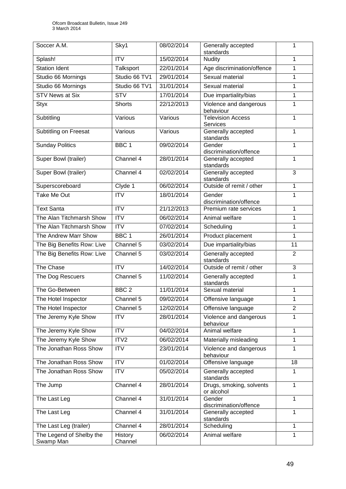| Soccer A.M.                | Sky1             | 08/02/2014 | Generally accepted                          | 1              |  |
|----------------------------|------------------|------------|---------------------------------------------|----------------|--|
| Splash!                    | $\overline{IV}$  | 15/02/2014 | standards<br>1<br><b>Nudity</b>             |                |  |
| <b>Station Ident</b>       | Talksport        | 22/01/2014 | Age discrimination/offence                  | 1              |  |
| Studio 66 Mornings         | Studio 66 TV1    | 29/01/2014 | Sexual material                             | 1              |  |
| Studio 66 Mornings         | Studio 66 TV1    | 31/01/2014 | Sexual material                             | 1              |  |
| <b>STV News at Six</b>     | <b>STV</b>       | 17/01/2014 |                                             | $\mathbf{1}$   |  |
|                            |                  |            | Due impartiality/bias                       |                |  |
| <b>Styx</b>                | <b>Shorts</b>    | 22/12/2013 | Violence and dangerous<br>behaviour         | 1              |  |
| Subtitling                 | Various          | Various    | <b>Television Access</b><br><b>Services</b> | 1              |  |
| Subtitling on Freesat      | Various          | Various    | Generally accepted<br>standards             | 1              |  |
| <b>Sunday Politics</b>     | BBC <sub>1</sub> | 09/02/2014 | Gender<br>discrimination/offence            | 1              |  |
| Super Bowl (trailer)       | Channel 4        | 28/01/2014 | Generally accepted<br>standards             | $\mathbf{1}$   |  |
| Super Bowl (trailer)       | Channel 4        | 02/02/2014 | Generally accepted<br>standards             | 3              |  |
| Superscoreboard            | Clyde 1          | 06/02/2014 | Outside of remit / other                    | $\mathbf{1}$   |  |
| <b>Take Me Out</b>         | $\overline{IV}$  | 18/01/2014 | Gender<br>discrimination/offence            | 1              |  |
| <b>Text Santa</b>          | ITV              | 21/12/2013 | Premium rate services                       | $\mathbf{1}$   |  |
| The Alan Titchmarsh Show   | $\overline{IV}$  | 06/02/2014 | Animal welfare<br>1                         |                |  |
| The Alan Titchmarsh Show   | $\overline{ITV}$ | 07/02/2014 | 1<br>Scheduling                             |                |  |
| The Andrew Marr Show       | BBC <sub>1</sub> | 26/01/2014 | Product placement<br>$\mathbf{1}$           |                |  |
| The Big Benefits Row: Live | Channel 5        | 03/02/2014 | Due impartiality/bias                       | 11             |  |
| The Big Benefits Row: Live | Channel 5        | 03/02/2014 | Generally accepted<br>standards             | $\overline{2}$ |  |
| The Chase                  | <b>ITV</b>       | 14/02/2014 | Outside of remit / other                    | 3              |  |
| The Dog Rescuers           | Channel 5        | 11/02/2014 | Generally accepted<br>standards             | $\mathbf{1}$   |  |
| The Go-Between             | BBC <sub>2</sub> | 11/01/2014 | Sexual material                             | 1              |  |
| The Hotel Inspector        | Channel 5        | 09/02/2014 | Offensive language                          | $\mathbf{1}$   |  |
| The Hotel Inspector        | Channel 5        | 12/02/2014 | Offensive language                          | $\overline{2}$ |  |
| The Jeremy Kyle Show       | <b>ITV</b>       | 28/01/2014 | Violence and dangerous<br>behaviour         | 1              |  |
| The Jeremy Kyle Show       | ITV              | 04/02/2014 | Animal welfare                              | $\mathbf{1}$   |  |
| The Jeremy Kyle Show       | ITV2             | 06/02/2014 | Materially misleading                       | 1              |  |
| The Jonathan Ross Show     | <b>ITV</b>       | 23/01/2014 | Violence and dangerous<br>behaviour         | 1              |  |
| The Jonathan Ross Show     | <b>ITV</b>       | 01/02/2014 | Offensive language                          | 18             |  |
| The Jonathan Ross Show     | <b>ITV</b>       | 05/02/2014 | Generally accepted<br>standards             | 1              |  |
| The Jump                   | Channel 4        | 28/01/2014 | Drugs, smoking, solvents<br>or alcohol      | $\mathbf{1}$   |  |
| The Last Leg               | Channel 4        | 31/01/2014 | Gender<br>discrimination/offence            | 1              |  |
| The Last Leg               | Channel 4        | 31/01/2014 | Generally accepted<br>standards             | 1              |  |
| The Last Leg (trailer)     | Channel 4        | 28/01/2014 | Scheduling                                  | $\mathbf{1}$   |  |
| The Legend of Shelby the   | History          | 06/02/2014 | Animal welfare                              | 1              |  |
| Swamp Man                  | Channel          |            |                                             |                |  |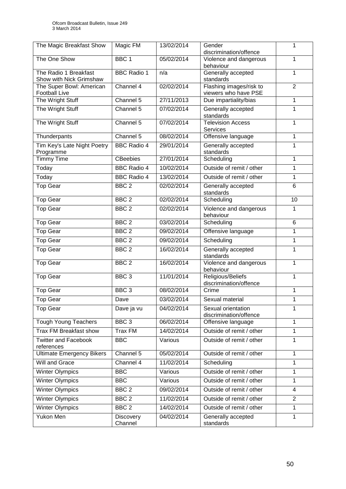| The Magic Breakfast Show                         | Magic FM             | 13/02/2014 | Gender<br>1<br>discrimination/offence               |                |
|--------------------------------------------------|----------------------|------------|-----------------------------------------------------|----------------|
| The One Show                                     | BBC <sub>1</sub>     | 05/02/2014 | $\mathbf{1}$<br>Violence and dangerous<br>behaviour |                |
| The Radio 1 Breakfast<br>Show with Nick Grimshaw | <b>BBC Radio 1</b>   | n/a        | Generally accepted<br>standards                     | 1              |
| The Super Bowl: American<br><b>Football Live</b> | Channel 4            | 02/02/2014 | Flashing images/risk to<br>viewers who have PSE     | $\overline{2}$ |
| The Wright Stuff                                 | Channel 5            | 27/11/2013 | Due impartiality/bias                               | 1              |
| The Wright Stuff                                 | Channel 5            | 07/02/2014 | Generally accepted<br>standards                     | 1              |
| The Wright Stuff                                 | Channel 5            | 07/02/2014 | Television Access<br><b>Services</b>                | 1              |
| Thunderpants                                     | Channel 5            | 08/02/2014 | Offensive language                                  | 1              |
| Tim Key's Late Night Poetry<br>Programme         | <b>BBC Radio 4</b>   | 29/01/2014 | Generally accepted<br>standards                     | 1              |
| <b>Timmy Time</b>                                | <b>CBeebies</b>      | 27/01/2014 | Scheduling                                          | $\mathbf{1}$   |
| Today                                            | <b>BBC Radio 4</b>   | 10/02/2014 | Outside of remit / other                            | 1              |
| Today                                            | <b>BBC Radio 4</b>   | 13/02/2014 | Outside of remit / other                            | $\mathbf{1}$   |
| <b>Top Gear</b>                                  | BBC <sub>2</sub>     | 02/02/2014 | Generally accepted<br>standards                     | 6              |
| <b>Top Gear</b>                                  | BBC <sub>2</sub>     | 02/02/2014 | Scheduling                                          | 10             |
| <b>Top Gear</b>                                  | BBC <sub>2</sub>     | 02/02/2014 | Violence and dangerous<br>behaviour                 | 1              |
| <b>Top Gear</b>                                  | BBC <sub>2</sub>     | 03/02/2014 | Scheduling                                          | 6              |
| <b>Top Gear</b>                                  | BBC <sub>2</sub>     | 09/02/2014 | Offensive language                                  | 1              |
| <b>Top Gear</b>                                  | BBC <sub>2</sub>     | 09/02/2014 | Scheduling                                          | $\mathbf{1}$   |
| <b>Top Gear</b>                                  | BBC <sub>2</sub>     | 16/02/2014 | Generally accepted<br>standards                     | 1              |
| <b>Top Gear</b>                                  | BBC <sub>2</sub>     | 16/02/2014 | Violence and dangerous<br>behaviour                 | $\overline{1}$ |
| <b>Top Gear</b>                                  | BBC <sub>3</sub>     | 11/01/2014 | Religious/Beliefs<br>discrimination/offence         | 1              |
| <b>Top Gear</b>                                  | BBC <sub>3</sub>     | 08/02/2014 | Crime                                               | 1              |
| <b>Top Gear</b>                                  | Dave                 | 03/02/2014 | Sexual material                                     | 1              |
| <b>Top Gear</b>                                  | Dave ja vu           | 04/02/2014 | Sexual orientation<br>discrimination/offence        | 1              |
| <b>Tough Young Teachers</b>                      | BBC <sub>3</sub>     | 06/02/2014 | Offensive language                                  | 1              |
| <b>Trax FM Breakfast show</b>                    | <b>Trax FM</b>       | 14/02/2014 | Outside of remit / other                            | $\mathbf{1}$   |
| <b>Twitter and Facebook</b><br>references        | <b>BBC</b>           | Various    | Outside of remit / other                            | 1              |
| <b>Ultimate Emergency Bikers</b>                 | Channel 5            | 05/02/2014 | Outside of remit / other                            | $\mathbf{1}$   |
| <b>Will and Grace</b>                            | Channel 4            | 11/02/2014 | Scheduling                                          | 1              |
| <b>Winter Olympics</b>                           | <b>BBC</b>           | Various    | Outside of remit / other                            | 1              |
| <b>Winter Olympics</b>                           | <b>BBC</b>           | Various    | Outside of remit / other                            | $\mathbf{1}$   |
| <b>Winter Olympics</b>                           | BBC <sub>2</sub>     | 09/02/2014 | Outside of remit / other                            | 4              |
| <b>Winter Olympics</b>                           | BBC <sub>2</sub>     | 11/02/2014 | Outside of remit / other                            | $\overline{2}$ |
| <b>Winter Olympics</b>                           | BBC <sub>2</sub>     | 14/02/2014 | Outside of remit / other                            | $\mathbf{1}$   |
| <b>Yukon Men</b>                                 | Discovery<br>Channel | 04/02/2014 | Generally accepted<br>standards                     | 1              |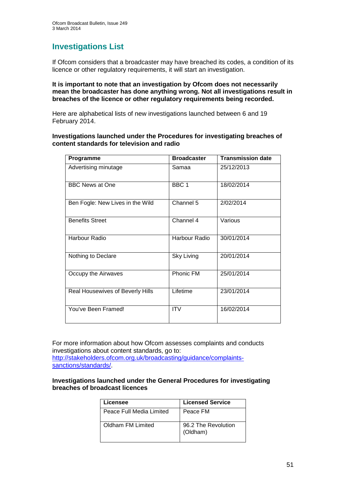# **Investigations List**

If Ofcom considers that a broadcaster may have breached its codes, a condition of its licence or other regulatory requirements, it will start an investigation.

#### **It is important to note that an investigation by Ofcom does not necessarily mean the broadcaster has done anything wrong. Not all investigations result in breaches of the licence or other regulatory requirements being recorded.**

Here are alphabetical lists of new investigations launched between 6 and 19 February 2014.

#### **Investigations launched under the Procedures for investigating breaches of content standards for television and radio**

| Programme                        | <b>Broadcaster</b> | <b>Transmission date</b> |
|----------------------------------|--------------------|--------------------------|
| Advertising minutage             | Samaa              | 25/12/2013               |
| <b>BBC News at One</b>           | BBC <sub>1</sub>   | 18/02/2014               |
| Ben Fogle: New Lives in the Wild | Channel 5          | 2/02/2014                |
| <b>Benefits Street</b>           | Channel 4          | Various                  |
| Harbour Radio                    | Harbour Radio      | 30/01/2014               |
| Nothing to Declare               | Sky Living         | 20/01/2014               |
| Occupy the Airwaves              | Phonic FM          | 25/01/2014               |
| Real Housewives of Beverly Hills | Lifetime           | 23/01/2014               |
| You've Been Framed!              | <b>ITV</b>         | 16/02/2014               |

For more information about how Ofcom assesses complaints and conducts investigations about content standards, go to: [http://stakeholders.ofcom.org.uk/broadcasting/guidance/complaints](http://stakeholders.ofcom.org.uk/broadcasting/guidance/complaints-sanctions/standards/)[sanctions/standards/.](http://stakeholders.ofcom.org.uk/broadcasting/guidance/complaints-sanctions/standards/)

#### **Investigations launched under the General Procedures for investigating breaches of broadcast licences**

| Licensee                 | <b>Licensed Service</b>         |
|--------------------------|---------------------------------|
| Peace Full Media Limited | Peace FM                        |
| Oldham FM Limited        | 96.2 The Revolution<br>(Oldham) |